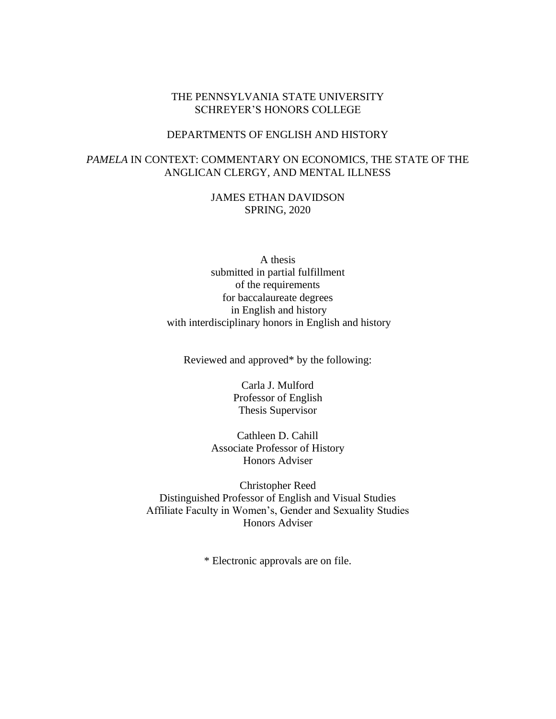# THE PENNSYLVANIA STATE UNIVERSITY SCHREYER'S HONORS COLLEGE

### DEPARTMENTS OF ENGLISH AND HISTORY

# *PAMELA* IN CONTEXT: COMMENTARY ON ECONOMICS, THE STATE OF THE ANGLICAN CLERGY, AND MENTAL ILLNESS

JAMES ETHAN DAVIDSON SPRING, 2020

A thesis submitted in partial fulfillment of the requirements for baccalaureate degrees in English and history with interdisciplinary honors in English and history

Reviewed and approved\* by the following:

Carla J. Mulford Professor of English Thesis Supervisor

Cathleen D. Cahill Associate Professor of History Honors Adviser

Christopher Reed Distinguished Professor of English and Visual Studies Affiliate Faculty in Women's, Gender and Sexuality Studies Honors Adviser

\* Electronic approvals are on file.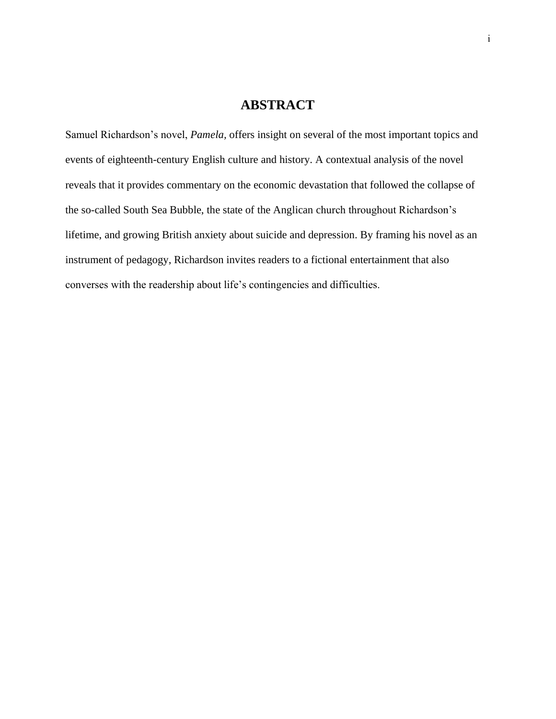# **ABSTRACT**

Samuel Richardson's novel, *Pamela,* offers insight on several of the most important topics and events of eighteenth-century English culture and history. A contextual analysis of the novel reveals that it provides commentary on the economic devastation that followed the collapse of the so-called South Sea Bubble, the state of the Anglican church throughout Richardson's lifetime, and growing British anxiety about suicide and depression. By framing his novel as an instrument of pedagogy, Richardson invites readers to a fictional entertainment that also converses with the readership about life's contingencies and difficulties.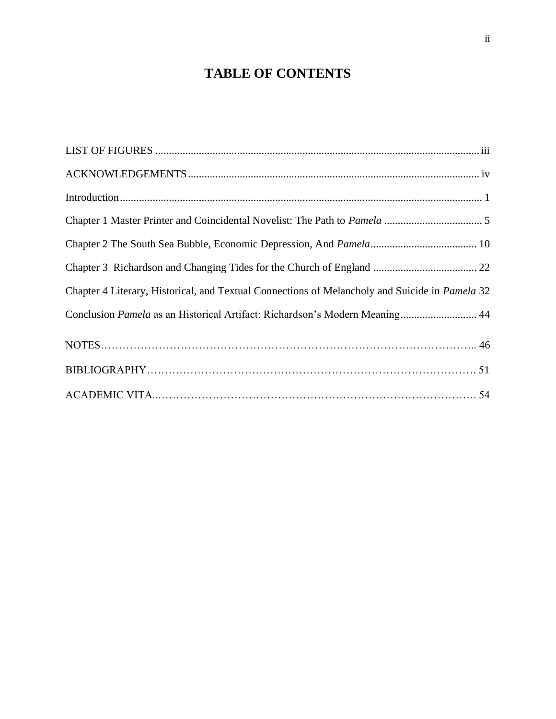# **TABLE OF CONTENTS**

| Chapter 4 Literary, Historical, and Textual Connections of Melancholy and Suicide in Pamela 32 |
|------------------------------------------------------------------------------------------------|
| Conclusion Pamela as an Historical Artifact: Richardson's Modern Meaning 44                    |
|                                                                                                |
|                                                                                                |
|                                                                                                |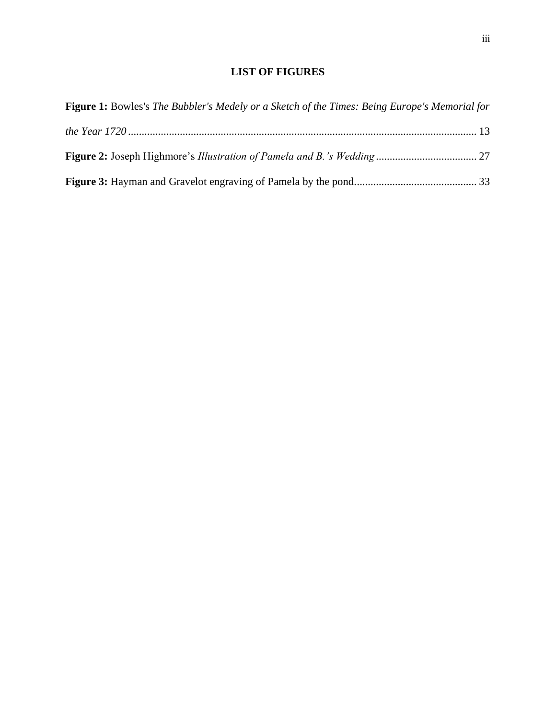# **LIST OF FIGURES**

<span id="page-3-0"></span>

| <b>Figure 1:</b> Bowles's The Bubbler's Medely or a Sketch of the Times: Being Europe's Memorial for |  |
|------------------------------------------------------------------------------------------------------|--|
|                                                                                                      |  |
|                                                                                                      |  |
|                                                                                                      |  |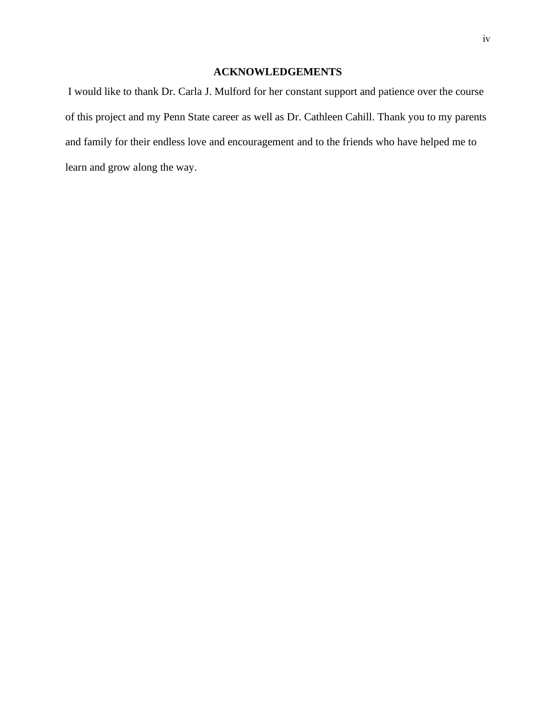# **ACKNOWLEDGEMENTS**

<span id="page-4-0"></span>I would like to thank Dr. Carla J. Mulford for her constant support and patience over the course of this project and my Penn State career as well as Dr. Cathleen Cahill. Thank you to my parents and family for their endless love and encouragement and to the friends who have helped me to learn and grow along the way.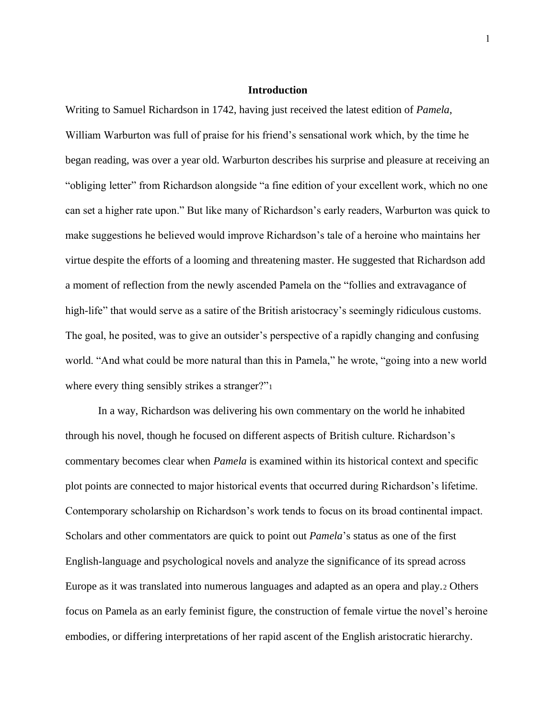#### **Introduction**

<span id="page-5-0"></span>Writing to Samuel Richardson in 1742, having just received the latest edition of *Pamela*, William Warburton was full of praise for his friend's sensational work which, by the time he began reading, was over a year old. Warburton describes his surprise and pleasure at receiving an "obliging letter" from Richardson alongside "a fine edition of your excellent work, which no one can set a higher rate upon." But like many of Richardson's early readers, Warburton was quick to make suggestions he believed would improve Richardson's tale of a heroine who maintains her virtue despite the efforts of a looming and threatening master. He suggested that Richardson add a moment of reflection from the newly ascended Pamela on the "follies and extravagance of high-life" that would serve as a satire of the British aristocracy's seemingly ridiculous customs. The goal, he posited, was to give an outsider's perspective of a rapidly changing and confusing world. "And what could be more natural than this in Pamela," he wrote, "going into a new world where every thing sensibly strikes a stranger?"<sup>1</sup>

In a way, Richardson was delivering his own commentary on the world he inhabited through his novel, though he focused on different aspects of British culture. Richardson's commentary becomes clear when *Pamela* is examined within its historical context and specific plot points are connected to major historical events that occurred during Richardson's lifetime. Contemporary scholarship on Richardson's work tends to focus on its broad continental impact. Scholars and other commentators are quick to point out *Pamela*'s status as one of the first English-language and psychological novels and analyze the significance of its spread across Europe as it was translated into numerous languages and adapted as an opera and play.<sup>2</sup> Others focus on Pamela as an early feminist figure, the construction of female virtue the novel's heroine embodies, or differing interpretations of her rapid ascent of the English aristocratic hierarchy.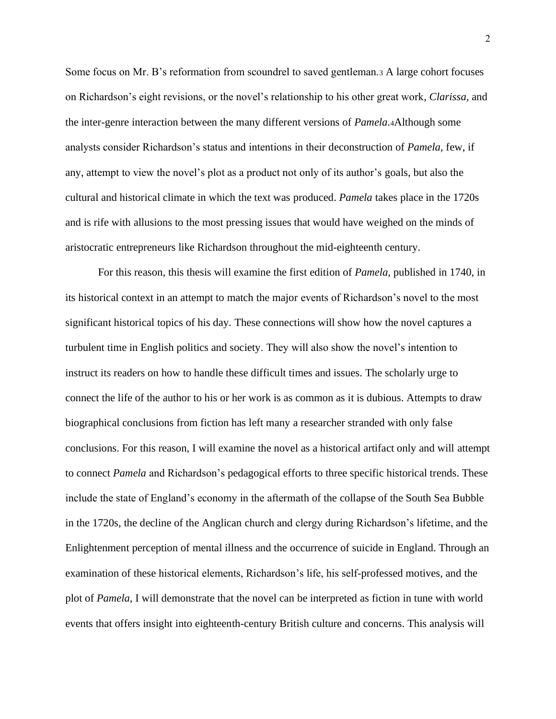Some focus on Mr. B's reformation from scoundrel to saved gentleman.<sup>3</sup> A large cohort focuses on Richardson's eight revisions, or the novel's relationship to his other great work, *Clarissa,* and the inter-genre interaction between the many different versions of *Pamela*.4Although some analysts consider Richardson's status and intentions in their deconstruction of *Pamela,* few, if any, attempt to view the novel's plot as a product not only of its author's goals, but also the cultural and historical climate in which the text was produced. *Pamela* takes place in the 1720s and is rife with allusions to the most pressing issues that would have weighed on the minds of aristocratic entrepreneurs like Richardson throughout the mid-eighteenth century.

For this reason, this thesis will examine the first edition of *Pamela,* published in 1740, in its historical context in an attempt to match the major events of Richardson's novel to the most significant historical topics of his day. These connections will show how the novel captures a turbulent time in English politics and society. They will also show the novel's intention to instruct its readers on how to handle these difficult times and issues. The scholarly urge to connect the life of the author to his or her work is as common as it is dubious. Attempts to draw biographical conclusions from fiction has left many a researcher stranded with only false conclusions. For this reason, I will examine the novel as a historical artifact only and will attempt to connect *Pamela* and Richardson's pedagogical efforts to three specific historical trends. These include the state of England's economy in the aftermath of the collapse of the South Sea Bubble in the 1720s, the decline of the Anglican church and clergy during Richardson's lifetime, and the Enlightenment perception of mental illness and the occurrence of suicide in England. Through an examination of these historical elements, Richardson's life, his self-professed motives, and the plot of *Pamela,* I will demonstrate that the novel can be interpreted as fiction in tune with world events that offers insight into eighteenth-century British culture and concerns. This analysis will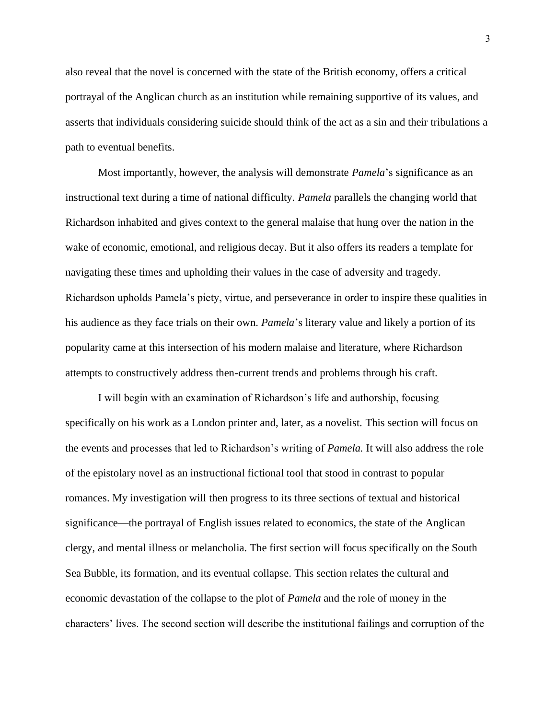also reveal that the novel is concerned with the state of the British economy, offers a critical portrayal of the Anglican church as an institution while remaining supportive of its values, and asserts that individuals considering suicide should think of the act as a sin and their tribulations a path to eventual benefits.

Most importantly, however, the analysis will demonstrate *Pamela*'s significance as an instructional text during a time of national difficulty. *Pamela* parallels the changing world that Richardson inhabited and gives context to the general malaise that hung over the nation in the wake of economic, emotional, and religious decay. But it also offers its readers a template for navigating these times and upholding their values in the case of adversity and tragedy. Richardson upholds Pamela's piety, virtue, and perseverance in order to inspire these qualities in his audience as they face trials on their own. *Pamela*'s literary value and likely a portion of its popularity came at this intersection of his modern malaise and literature, where Richardson attempts to constructively address then-current trends and problems through his craft.

I will begin with an examination of Richardson's life and authorship, focusing specifically on his work as a London printer and, later, as a novelist. This section will focus on the events and processes that led to Richardson's writing of *Pamela.* It will also address the role of the epistolary novel as an instructional fictional tool that stood in contrast to popular romances. My investigation will then progress to its three sections of textual and historical significance—the portrayal of English issues related to economics, the state of the Anglican clergy, and mental illness or melancholia. The first section will focus specifically on the South Sea Bubble, its formation, and its eventual collapse. This section relates the cultural and economic devastation of the collapse to the plot of *Pamela* and the role of money in the characters' lives. The second section will describe the institutional failings and corruption of the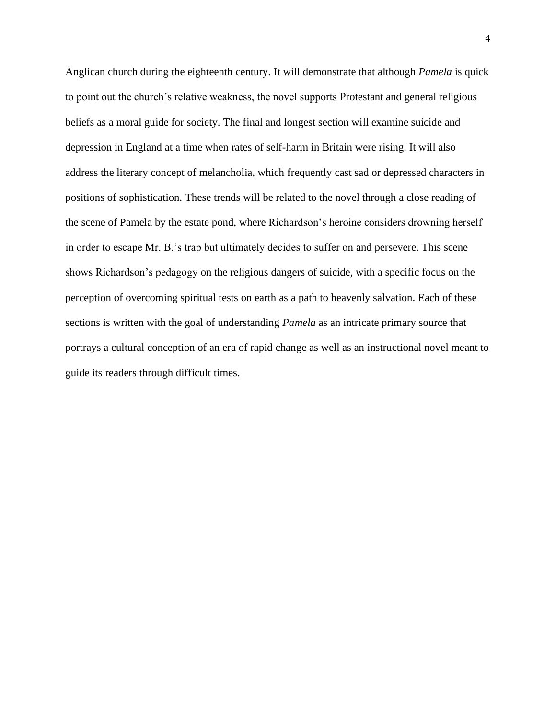Anglican church during the eighteenth century. It will demonstrate that although *Pamela* is quick to point out the church's relative weakness, the novel supports Protestant and general religious beliefs as a moral guide for society. The final and longest section will examine suicide and depression in England at a time when rates of self-harm in Britain were rising. It will also address the literary concept of melancholia, which frequently cast sad or depressed characters in positions of sophistication. These trends will be related to the novel through a close reading of the scene of Pamela by the estate pond, where Richardson's heroine considers drowning herself in order to escape Mr. B.'s trap but ultimately decides to suffer on and persevere. This scene shows Richardson's pedagogy on the religious dangers of suicide, with a specific focus on the perception of overcoming spiritual tests on earth as a path to heavenly salvation. Each of these sections is written with the goal of understanding *Pamela* as an intricate primary source that portrays a cultural conception of an era of rapid change as well as an instructional novel meant to guide its readers through difficult times.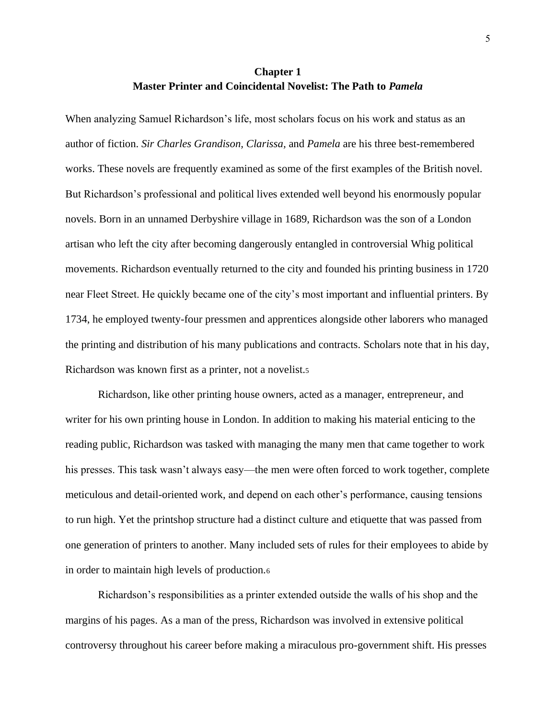# **Chapter 1 Master Printer and Coincidental Novelist: The Path to** *Pamela*

<span id="page-9-0"></span>When analyzing Samuel Richardson's life, most scholars focus on his work and status as an author of fiction. *Sir Charles Grandison, Clarissa,* and *Pamela* are his three best-remembered works. These novels are frequently examined as some of the first examples of the British novel. But Richardson's professional and political lives extended well beyond his enormously popular novels. Born in an unnamed Derbyshire village in 1689, Richardson was the son of a London artisan who left the city after becoming dangerously entangled in controversial Whig political movements. Richardson eventually returned to the city and founded his printing business in 1720 near Fleet Street. He quickly became one of the city's most important and influential printers. By 1734, he employed twenty-four pressmen and apprentices alongside other laborers who managed the printing and distribution of his many publications and contracts. Scholars note that in his day, Richardson was known first as a printer, not a novelist.<sup>5</sup>

Richardson, like other printing house owners, acted as a manager, entrepreneur, and writer for his own printing house in London. In addition to making his material enticing to the reading public, Richardson was tasked with managing the many men that came together to work his presses. This task wasn't always easy—the men were often forced to work together, complete meticulous and detail-oriented work, and depend on each other's performance, causing tensions to run high. Yet the printshop structure had a distinct culture and etiquette that was passed from one generation of printers to another. Many included sets of rules for their employees to abide by in order to maintain high levels of production.<sup>6</sup>

Richardson's responsibilities as a printer extended outside the walls of his shop and the margins of his pages. As a man of the press, Richardson was involved in extensive political controversy throughout his career before making a miraculous pro-government shift. His presses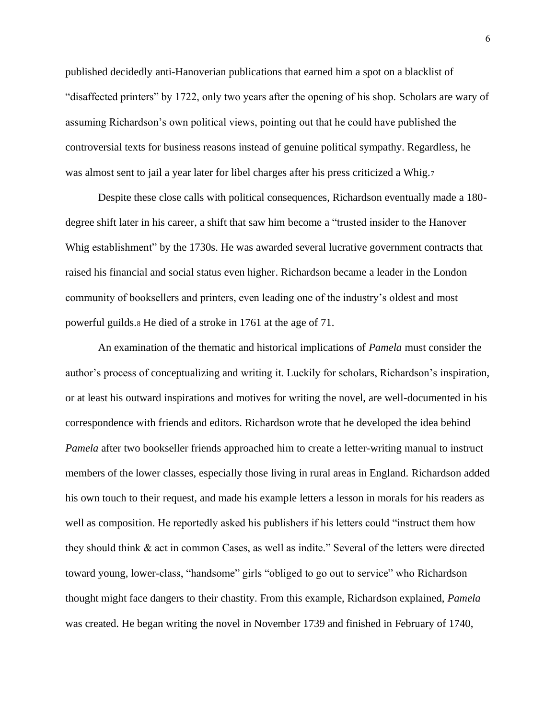published decidedly anti-Hanoverian publications that earned him a spot on a blacklist of "disaffected printers" by 1722, only two years after the opening of his shop. Scholars are wary of assuming Richardson's own political views, pointing out that he could have published the controversial texts for business reasons instead of genuine political sympathy. Regardless, he was almost sent to jail a year later for libel charges after his press criticized a Whig.7

Despite these close calls with political consequences, Richardson eventually made a 180 degree shift later in his career, a shift that saw him become a "trusted insider to the Hanover Whig establishment" by the 1730s. He was awarded several lucrative government contracts that raised his financial and social status even higher. Richardson became a leader in the London community of booksellers and printers, even leading one of the industry's oldest and most powerful guilds.<sup>8</sup> He died of a stroke in 1761 at the age of 71.

An examination of the thematic and historical implications of *Pamela* must consider the author's process of conceptualizing and writing it. Luckily for scholars, Richardson's inspiration, or at least his outward inspirations and motives for writing the novel, are well-documented in his correspondence with friends and editors. Richardson wrote that he developed the idea behind *Pamela* after two bookseller friends approached him to create a letter-writing manual to instruct members of the lower classes, especially those living in rural areas in England. Richardson added his own touch to their request, and made his example letters a lesson in morals for his readers as well as composition. He reportedly asked his publishers if his letters could "instruct them how they should think & act in common Cases, as well as indite." Several of the letters were directed toward young, lower-class, "handsome" girls "obliged to go out to service" who Richardson thought might face dangers to their chastity. From this example, Richardson explained, *Pamela*  was created. He began writing the novel in November 1739 and finished in February of 1740,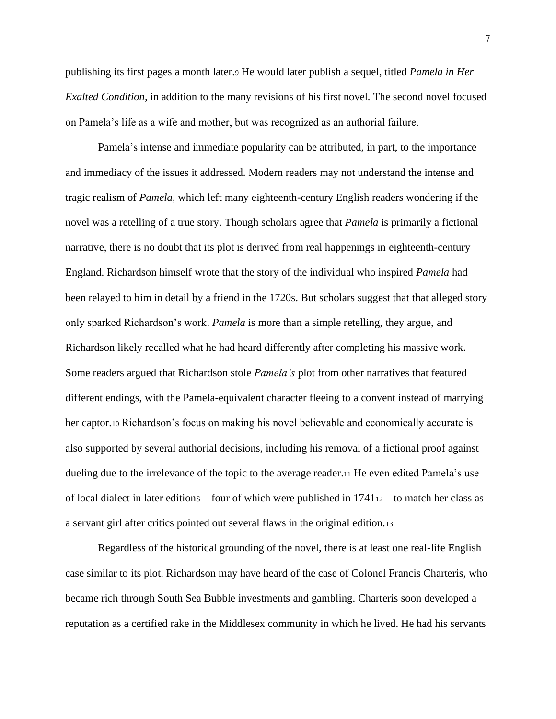publishing its first pages a month later.<sup>9</sup> He would later publish a sequel, titled *Pamela in Her Exalted Condition,* in addition to the many revisions of his first novel*.* The second novel focused on Pamela's life as a wife and mother, but was recognized as an authorial failure.

Pamela's intense and immediate popularity can be attributed, in part, to the importance and immediacy of the issues it addressed. Modern readers may not understand the intense and tragic realism of *Pamela,* which left many eighteenth-century English readers wondering if the novel was a retelling of a true story. Though scholars agree that *Pamela* is primarily a fictional narrative, there is no doubt that its plot is derived from real happenings in eighteenth-century England. Richardson himself wrote that the story of the individual who inspired *Pamela* had been relayed to him in detail by a friend in the 1720s. But scholars suggest that that alleged story only sparked Richardson's work. *Pamela* is more than a simple retelling, they argue, and Richardson likely recalled what he had heard differently after completing his massive work. Some readers argued that Richardson stole *Pamela's* plot from other narratives that featured different endings, with the Pamela-equivalent character fleeing to a convent instead of marrying her captor.<sup>10</sup> Richardson's focus on making his novel believable and economically accurate is also supported by several authorial decisions, including his removal of a fictional proof against dueling due to the irrelevance of the topic to the average reader.<sup>11</sup> He even edited Pamela's use of local dialect in later editions—four of which were published in 174112—to match her class as a servant girl after critics pointed out several flaws in the original edition.<sup>13</sup>

Regardless of the historical grounding of the novel, there is at least one real-life English case similar to its plot. Richardson may have heard of the case of Colonel Francis Charteris, who became rich through South Sea Bubble investments and gambling. Charteris soon developed a reputation as a certified rake in the Middlesex community in which he lived. He had his servants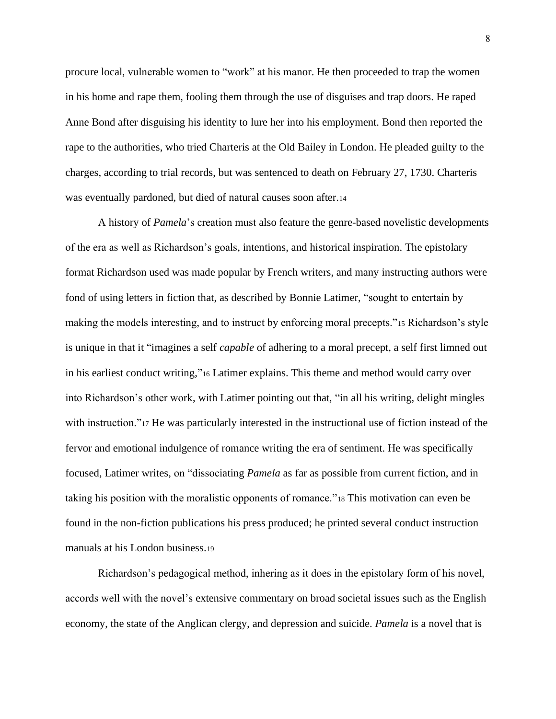procure local, vulnerable women to "work" at his manor. He then proceeded to trap the women in his home and rape them, fooling them through the use of disguises and trap doors. He raped Anne Bond after disguising his identity to lure her into his employment. Bond then reported the rape to the authorities, who tried Charteris at the Old Bailey in London. He pleaded guilty to the charges, according to trial records, but was sentenced to death on February 27, 1730. Charteris was eventually pardoned, but died of natural causes soon after.<sup>14</sup>

A history of *Pamela*'s creation must also feature the genre-based novelistic developments of the era as well as Richardson's goals, intentions, and historical inspiration. The epistolary format Richardson used was made popular by French writers, and many instructing authors were fond of using letters in fiction that, as described by Bonnie Latimer, "sought to entertain by making the models interesting, and to instruct by enforcing moral precepts."<sup>15</sup> Richardson's style is unique in that it "imagines a self *capable* of adhering to a moral precept, a self first limned out in his earliest conduct writing,"<sup>16</sup> Latimer explains. This theme and method would carry over into Richardson's other work, with Latimer pointing out that, "in all his writing, delight mingles with instruction."<sup>17</sup> He was particularly interested in the instructional use of fiction instead of the fervor and emotional indulgence of romance writing the era of sentiment. He was specifically focused, Latimer writes, on "dissociating *Pamela* as far as possible from current fiction, and in taking his position with the moralistic opponents of romance."<sup>18</sup> This motivation can even be found in the non-fiction publications his press produced; he printed several conduct instruction manuals at his London business.<sup>19</sup>

Richardson's pedagogical method, inhering as it does in the epistolary form of his novel, accords well with the novel's extensive commentary on broad societal issues such as the English economy, the state of the Anglican clergy, and depression and suicide. *Pamela* is a novel that is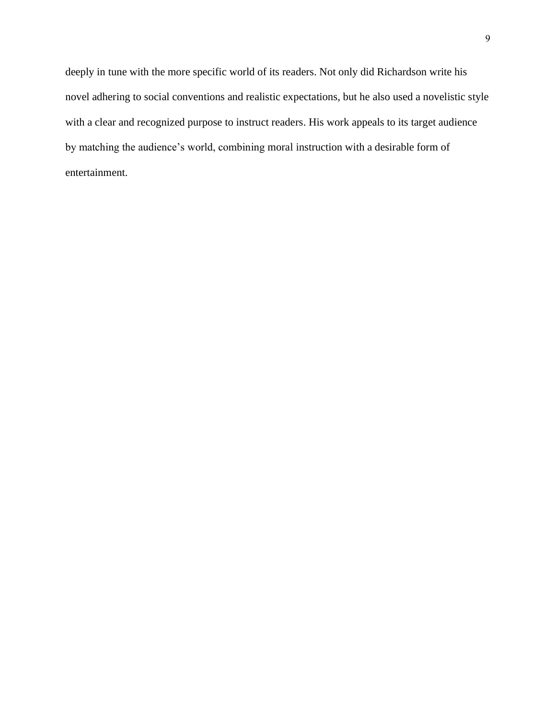<span id="page-13-0"></span>deeply in tune with the more specific world of its readers. Not only did Richardson write his novel adhering to social conventions and realistic expectations, but he also used a novelistic style with a clear and recognized purpose to instruct readers. His work appeals to its target audience by matching the audience's world, combining moral instruction with a desirable form of entertainment.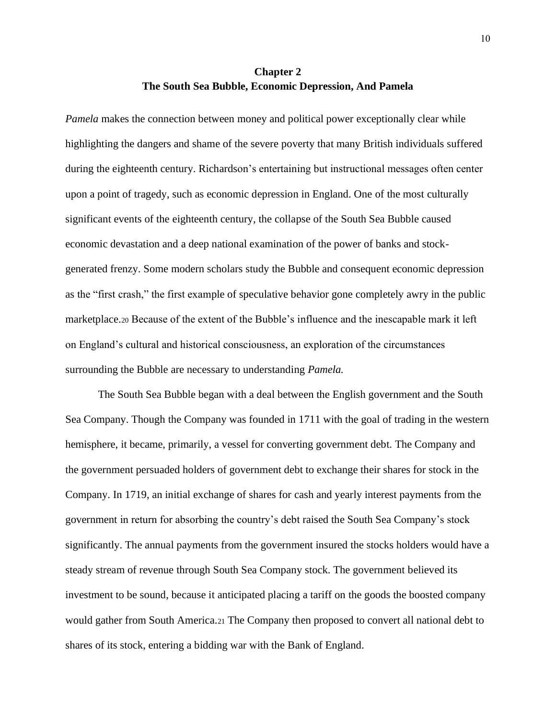# **Chapter 2 The South Sea Bubble, Economic Depression, And Pamela**

*Pamela* makes the connection between money and political power exceptionally clear while highlighting the dangers and shame of the severe poverty that many British individuals suffered during the eighteenth century. Richardson's entertaining but instructional messages often center upon a point of tragedy, such as economic depression in England. One of the most culturally significant events of the eighteenth century, the collapse of the South Sea Bubble caused economic devastation and a deep national examination of the power of banks and stockgenerated frenzy. Some modern scholars study the Bubble and consequent economic depression as the "first crash," the first example of speculative behavior gone completely awry in the public marketplace.<sup>20</sup> Because of the extent of the Bubble's influence and the inescapable mark it left on England's cultural and historical consciousness, an exploration of the circumstances surrounding the Bubble are necessary to understanding *Pamela.*

The South Sea Bubble began with a deal between the English government and the South Sea Company. Though the Company was founded in 1711 with the goal of trading in the western hemisphere, it became, primarily, a vessel for converting government debt. The Company and the government persuaded holders of government debt to exchange their shares for stock in the Company. In 1719, an initial exchange of shares for cash and yearly interest payments from the government in return for absorbing the country's debt raised the South Sea Company's stock significantly. The annual payments from the government insured the stocks holders would have a steady stream of revenue through South Sea Company stock. The government believed its investment to be sound, because it anticipated placing a tariff on the goods the boosted company would gather from South America.<sup>21</sup> The Company then proposed to convert all national debt to shares of its stock, entering a bidding war with the Bank of England.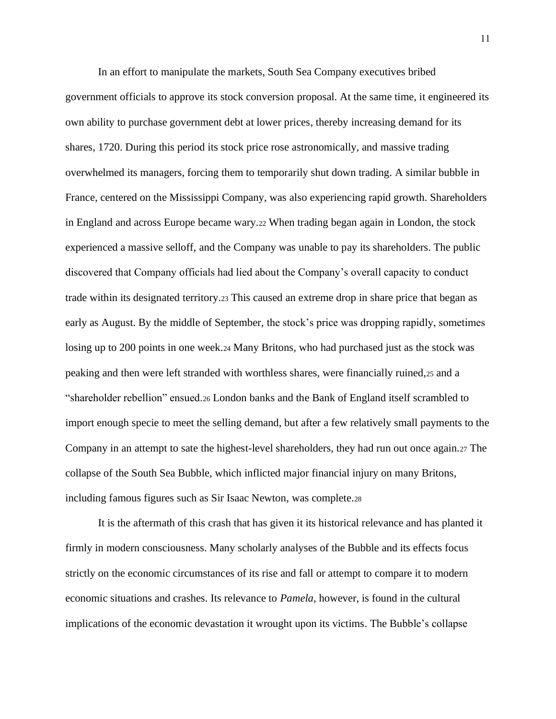In an effort to manipulate the markets, South Sea Company executives bribed government officials to approve its stock conversion proposal. At the same time, it engineered its own ability to purchase government debt at lower prices, thereby increasing demand for its shares, 1720. During this period its stock price rose astronomically, and massive trading overwhelmed its managers, forcing them to temporarily shut down trading. A similar bubble in France, centered on the Mississippi Company, was also experiencing rapid growth. Shareholders in England and across Europe became wary.<sup>22</sup> When trading began again in London, the stock experienced a massive selloff, and the Company was unable to pay its shareholders. The public discovered that Company officials had lied about the Company's overall capacity to conduct trade within its designated territory.<sup>23</sup> This caused an extreme drop in share price that began as early as August. By the middle of September, the stock's price was dropping rapidly, sometimes losing up to 200 points in one week.<sup>24</sup> Many Britons, who had purchased just as the stock was peaking and then were left stranded with worthless shares, were financially ruined,<sup>25</sup> and a "shareholder rebellion" ensued.<sup>26</sup> London banks and the Bank of England itself scrambled to import enough specie to meet the selling demand, but after a few relatively small payments to the Company in an attempt to sate the highest-level shareholders, they had run out once again.<sup>27</sup> The collapse of the South Sea Bubble, which inflicted major financial injury on many Britons, including famous figures such as Sir Isaac Newton, was complete.<sup>28</sup>

It is the aftermath of this crash that has given it its historical relevance and has planted it firmly in modern consciousness. Many scholarly analyses of the Bubble and its effects focus strictly on the economic circumstances of its rise and fall or attempt to compare it to modern economic situations and crashes. Its relevance to *Pamela,* however, is found in the cultural implications of the economic devastation it wrought upon its victims. The Bubble's collapse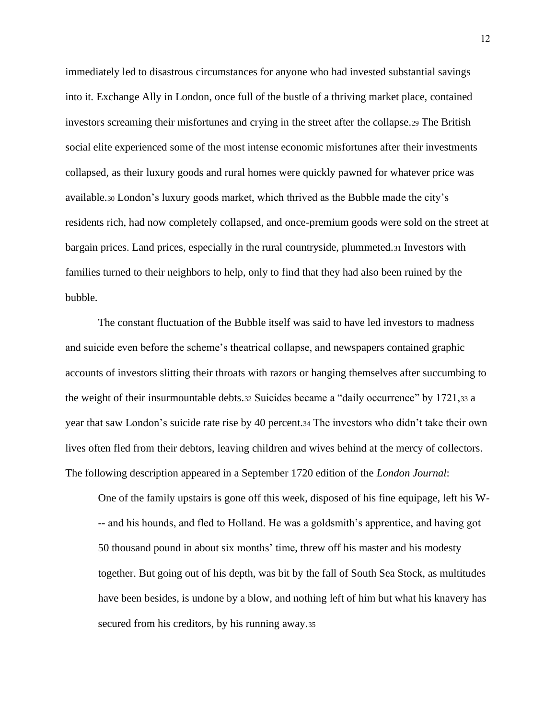immediately led to disastrous circumstances for anyone who had invested substantial savings into it. Exchange Ally in London, once full of the bustle of a thriving market place, contained investors screaming their misfortunes and crying in the street after the collapse.<sup>29</sup> The British social elite experienced some of the most intense economic misfortunes after their investments collapsed, as their luxury goods and rural homes were quickly pawned for whatever price was available.<sup>30</sup> London's luxury goods market, which thrived as the Bubble made the city's residents rich, had now completely collapsed, and once-premium goods were sold on the street at bargain prices. Land prices, especially in the rural countryside, plummeted.<sup>31</sup> Investors with families turned to their neighbors to help, only to find that they had also been ruined by the bubble.

The constant fluctuation of the Bubble itself was said to have led investors to madness and suicide even before the scheme's theatrical collapse, and newspapers contained graphic accounts of investors slitting their throats with razors or hanging themselves after succumbing to the weight of their insurmountable debts.32 Suicides became a "daily occurrence" by 1721,33 a year that saw London's suicide rate rise by 40 percent.<sup>34</sup> The investors who didn't take their own lives often fled from their debtors, leaving children and wives behind at the mercy of collectors. The following description appeared in a September 1720 edition of the *London Journal*:

One of the family upstairs is gone off this week, disposed of his fine equipage, left his W- -- and his hounds, and fled to Holland. He was a goldsmith's apprentice, and having got 50 thousand pound in about six months' time, threw off his master and his modesty together. But going out of his depth, was bit by the fall of South Sea Stock, as multitudes have been besides, is undone by a blow, and nothing left of him but what his knavery has secured from his creditors, by his running away.35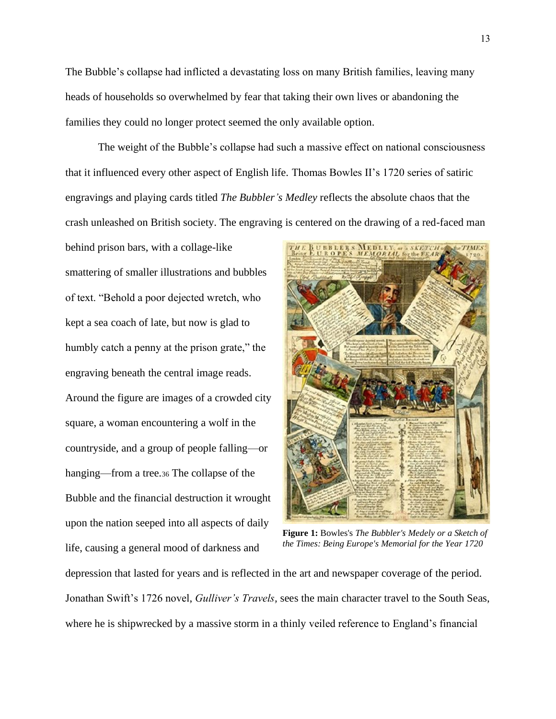The Bubble's collapse had inflicted a devastating loss on many British families, leaving many heads of households so overwhelmed by fear that taking their own lives or abandoning the families they could no longer protect seemed the only available option.

The weight of the Bubble's collapse had such a massive effect on national consciousness that it influenced every other aspect of English life. Thomas Bowles II's 1720 series of satiric engravings and playing cards titled *The Bubbler's Medley* reflects the absolute chaos that the crash unleashed on British society. The engraving is centered on the drawing of a red-faced man

behind prison bars, with a collage-like smattering of smaller illustrations and bubbles of text. "Behold a poor dejected wretch, who kept a sea coach of late, but now is glad to humbly catch a penny at the prison grate," the engraving beneath the central image reads. Around the figure are images of a crowded city square, a woman encountering a wolf in the countryside, and a group of people falling—or hanging—from a tree.<sup>36</sup> The collapse of the Bubble and the financial destruction it wrought upon the nation seeped into all aspects of daily life, causing a general mood of darkness and



**Figure 1:** Bowles's *The Bubbler's Medely or a Sketch of the Times: Being Europe's Memorial for the Year 1720*

depression that lasted for years and is reflected in the art and newspaper coverage of the period. Jonathan Swift's 1726 novel, *Gulliver's Travels,* sees the main character travel to the South Seas, where he is shipwrecked by a massive storm in a thinly veiled reference to England's financial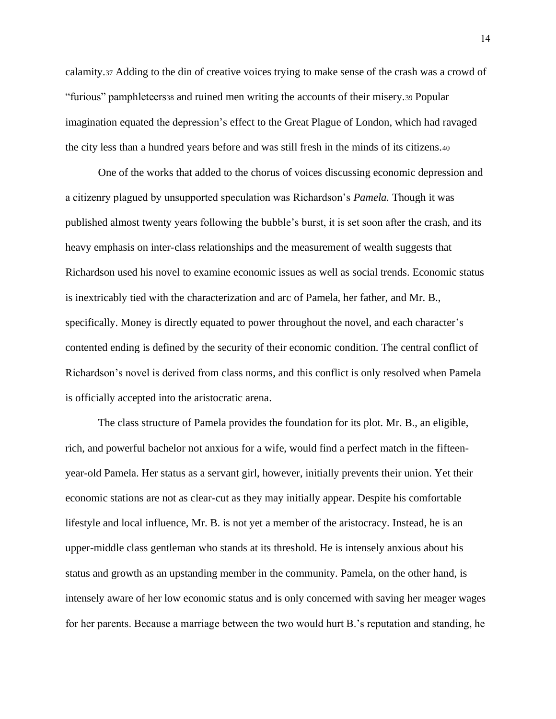calamity.<sup>37</sup> Adding to the din of creative voices trying to make sense of the crash was a crowd of "furious" pamphleteers<sup>38</sup> and ruined men writing the accounts of their misery.<sup>39</sup> Popular imagination equated the depression's effect to the Great Plague of London, which had ravaged the city less than a hundred years before and was still fresh in the minds of its citizens.<sup>40</sup>

One of the works that added to the chorus of voices discussing economic depression and a citizenry plagued by unsupported speculation was Richardson's *Pamela.* Though it was published almost twenty years following the bubble's burst, it is set soon after the crash, and its heavy emphasis on inter-class relationships and the measurement of wealth suggests that Richardson used his novel to examine economic issues as well as social trends. Economic status is inextricably tied with the characterization and arc of Pamela, her father, and Mr. B., specifically. Money is directly equated to power throughout the novel, and each character's contented ending is defined by the security of their economic condition. The central conflict of Richardson's novel is derived from class norms, and this conflict is only resolved when Pamela is officially accepted into the aristocratic arena.

The class structure of Pamela provides the foundation for its plot. Mr. B., an eligible, rich, and powerful bachelor not anxious for a wife, would find a perfect match in the fifteenyear-old Pamela. Her status as a servant girl, however, initially prevents their union. Yet their economic stations are not as clear-cut as they may initially appear. Despite his comfortable lifestyle and local influence, Mr. B. is not yet a member of the aristocracy. Instead, he is an upper-middle class gentleman who stands at its threshold. He is intensely anxious about his status and growth as an upstanding member in the community. Pamela, on the other hand, is intensely aware of her low economic status and is only concerned with saving her meager wages for her parents. Because a marriage between the two would hurt B.'s reputation and standing, he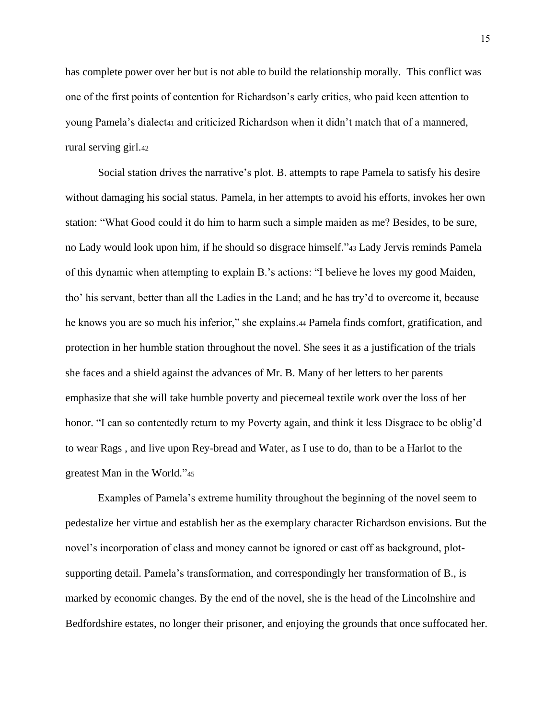has complete power over her but is not able to build the relationship morally. This conflict was one of the first points of contention for Richardson's early critics, who paid keen attention to young Pamela's dialect<sup>41</sup> and criticized Richardson when it didn't match that of a mannered, rural serving girl.<sup>42</sup>

Social station drives the narrative's plot. B. attempts to rape Pamela to satisfy his desire without damaging his social status. Pamela, in her attempts to avoid his efforts, invokes her own station: "What Good could it do him to harm such a simple maiden as me? Besides, to be sure, no Lady would look upon him, if he should so disgrace himself."<sup>43</sup> Lady Jervis reminds Pamela of this dynamic when attempting to explain B.'s actions: "I believe he loves my good Maiden, tho' his servant, better than all the Ladies in the Land; and he has try'd to overcome it, because he knows you are so much his inferior," she explains.44 Pamela finds comfort, gratification, and protection in her humble station throughout the novel. She sees it as a justification of the trials she faces and a shield against the advances of Mr. B. Many of her letters to her parents emphasize that she will take humble poverty and piecemeal textile work over the loss of her honor. "I can so contentedly return to my Poverty again, and think it less Disgrace to be oblig'd to wear Rags , and live upon Rey-bread and Water, as I use to do, than to be a Harlot to the greatest Man in the World."<sup>45</sup>

Examples of Pamela's extreme humility throughout the beginning of the novel seem to pedestalize her virtue and establish her as the exemplary character Richardson envisions. But the novel's incorporation of class and money cannot be ignored or cast off as background, plotsupporting detail. Pamela's transformation, and correspondingly her transformation of B., is marked by economic changes. By the end of the novel, she is the head of the Lincolnshire and Bedfordshire estates, no longer their prisoner, and enjoying the grounds that once suffocated her.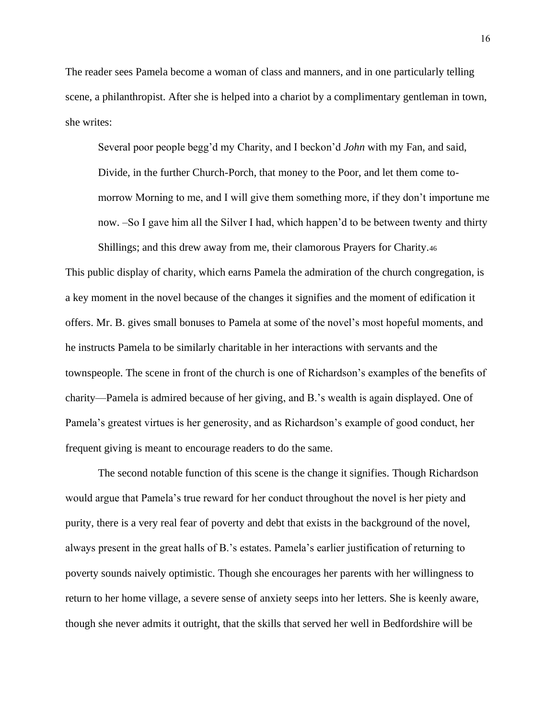The reader sees Pamela become a woman of class and manners, and in one particularly telling scene, a philanthropist. After she is helped into a chariot by a complimentary gentleman in town, she writes:

Several poor people begg'd my Charity, and I beckon'd *John* with my Fan, and said, Divide, in the further Church-Porch, that money to the Poor, and let them come tomorrow Morning to me, and I will give them something more, if they don't importune me now. –So I gave him all the Silver I had, which happen'd to be between twenty and thirty

Shillings; and this drew away from me, their clamorous Prayers for Charity.<sup>46</sup> This public display of charity, which earns Pamela the admiration of the church congregation, is a key moment in the novel because of the changes it signifies and the moment of edification it offers. Mr. B. gives small bonuses to Pamela at some of the novel's most hopeful moments, and he instructs Pamela to be similarly charitable in her interactions with servants and the townspeople. The scene in front of the church is one of Richardson's examples of the benefits of charity—Pamela is admired because of her giving, and B.'s wealth is again displayed. One of Pamela's greatest virtues is her generosity, and as Richardson's example of good conduct, her frequent giving is meant to encourage readers to do the same.

The second notable function of this scene is the change it signifies. Though Richardson would argue that Pamela's true reward for her conduct throughout the novel is her piety and purity, there is a very real fear of poverty and debt that exists in the background of the novel, always present in the great halls of B.'s estates. Pamela's earlier justification of returning to poverty sounds naively optimistic. Though she encourages her parents with her willingness to return to her home village, a severe sense of anxiety seeps into her letters. She is keenly aware, though she never admits it outright, that the skills that served her well in Bedfordshire will be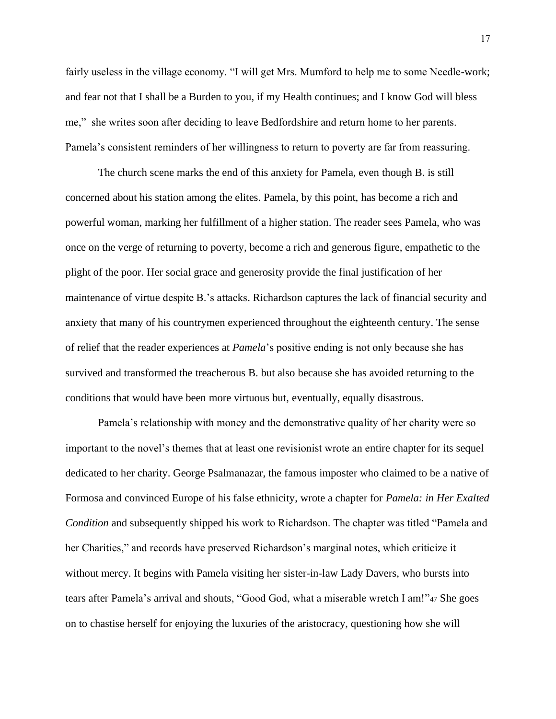fairly useless in the village economy. "I will get Mrs. Mumford to help me to some Needle-work; and fear not that I shall be a Burden to you, if my Health continues; and I know God will bless me," she writes soon after deciding to leave Bedfordshire and return home to her parents. Pamela's consistent reminders of her willingness to return to poverty are far from reassuring.

The church scene marks the end of this anxiety for Pamela, even though B. is still concerned about his station among the elites. Pamela, by this point, has become a rich and powerful woman, marking her fulfillment of a higher station. The reader sees Pamela, who was once on the verge of returning to poverty, become a rich and generous figure, empathetic to the plight of the poor. Her social grace and generosity provide the final justification of her maintenance of virtue despite B.'s attacks. Richardson captures the lack of financial security and anxiety that many of his countrymen experienced throughout the eighteenth century. The sense of relief that the reader experiences at *Pamela*'s positive ending is not only because she has survived and transformed the treacherous B. but also because she has avoided returning to the conditions that would have been more virtuous but, eventually, equally disastrous.

Pamela's relationship with money and the demonstrative quality of her charity were so important to the novel's themes that at least one revisionist wrote an entire chapter for its sequel dedicated to her charity. George Psalmanazar, the famous imposter who claimed to be a native of Formosa and convinced Europe of his false ethnicity, wrote a chapter for *Pamela: in Her Exalted Condition* and subsequently shipped his work to Richardson. The chapter was titled "Pamela and her Charities," and records have preserved Richardson's marginal notes, which criticize it without mercy. It begins with Pamela visiting her sister-in-law Lady Davers, who bursts into tears after Pamela's arrival and shouts, "Good God, what a miserable wretch I am!"<sup>47</sup> She goes on to chastise herself for enjoying the luxuries of the aristocracy, questioning how she will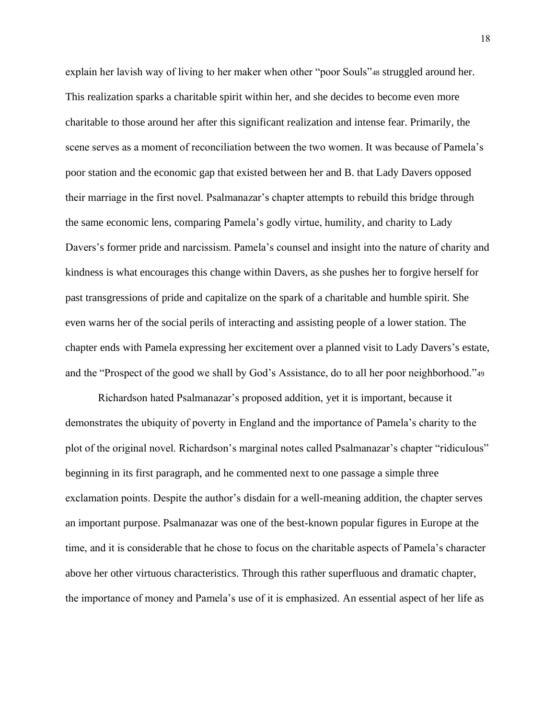explain her lavish way of living to her maker when other "poor Souls"<sup>48</sup> struggled around her. This realization sparks a charitable spirit within her, and she decides to become even more charitable to those around her after this significant realization and intense fear. Primarily, the scene serves as a moment of reconciliation between the two women. It was because of Pamela's poor station and the economic gap that existed between her and B. that Lady Davers opposed their marriage in the first novel. Psalmanazar's chapter attempts to rebuild this bridge through the same economic lens, comparing Pamela's godly virtue, humility, and charity to Lady Davers's former pride and narcissism. Pamela's counsel and insight into the nature of charity and kindness is what encourages this change within Davers, as she pushes her to forgive herself for past transgressions of pride and capitalize on the spark of a charitable and humble spirit. She even warns her of the social perils of interacting and assisting people of a lower station. The chapter ends with Pamela expressing her excitement over a planned visit to Lady Davers's estate, and the "Prospect of the good we shall by God's Assistance, do to all her poor neighborhood."<sup>49</sup>

Richardson hated Psalmanazar's proposed addition, yet it is important, because it demonstrates the ubiquity of poverty in England and the importance of Pamela's charity to the plot of the original novel. Richardson's marginal notes called Psalmanazar's chapter "ridiculous" beginning in its first paragraph, and he commented next to one passage a simple three exclamation points. Despite the author's disdain for a well-meaning addition, the chapter serves an important purpose. Psalmanazar was one of the best-known popular figures in Europe at the time, and it is considerable that he chose to focus on the charitable aspects of Pamela's character above her other virtuous characteristics. Through this rather superfluous and dramatic chapter, the importance of money and Pamela's use of it is emphasized. An essential aspect of her life as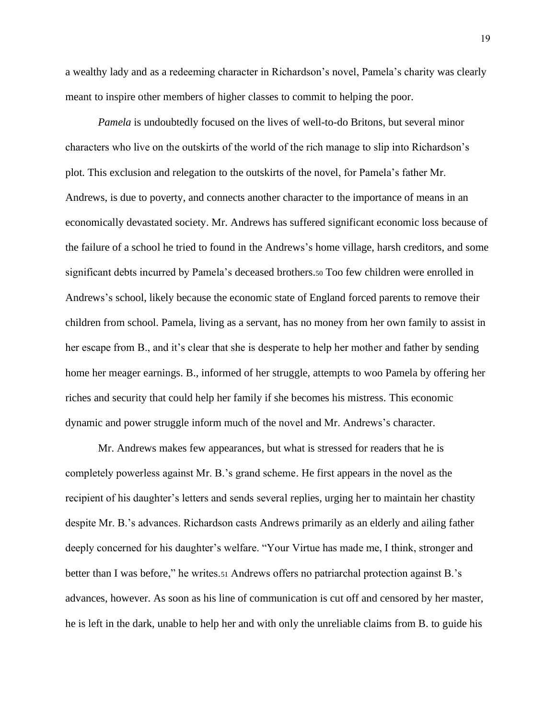a wealthy lady and as a redeeming character in Richardson's novel, Pamela's charity was clearly meant to inspire other members of higher classes to commit to helping the poor.

*Pamela* is undoubtedly focused on the lives of well-to-do Britons, but several minor characters who live on the outskirts of the world of the rich manage to slip into Richardson's plot. This exclusion and relegation to the outskirts of the novel, for Pamela's father Mr. Andrews, is due to poverty, and connects another character to the importance of means in an economically devastated society. Mr. Andrews has suffered significant economic loss because of the failure of a school he tried to found in the Andrews's home village, harsh creditors, and some significant debts incurred by Pamela's deceased brothers.<sup>50</sup> Too few children were enrolled in Andrews's school, likely because the economic state of England forced parents to remove their children from school. Pamela, living as a servant, has no money from her own family to assist in her escape from B., and it's clear that she is desperate to help her mother and father by sending home her meager earnings. B., informed of her struggle, attempts to woo Pamela by offering her riches and security that could help her family if she becomes his mistress. This economic dynamic and power struggle inform much of the novel and Mr. Andrews's character.

Mr. Andrews makes few appearances, but what is stressed for readers that he is completely powerless against Mr. B.'s grand scheme. He first appears in the novel as the recipient of his daughter's letters and sends several replies, urging her to maintain her chastity despite Mr. B.'s advances. Richardson casts Andrews primarily as an elderly and ailing father deeply concerned for his daughter's welfare. "Your Virtue has made me, I think, stronger and better than I was before," he writes.<sup>51</sup> Andrews offers no patriarchal protection against B.'s advances, however. As soon as his line of communication is cut off and censored by her master, he is left in the dark, unable to help her and with only the unreliable claims from B. to guide his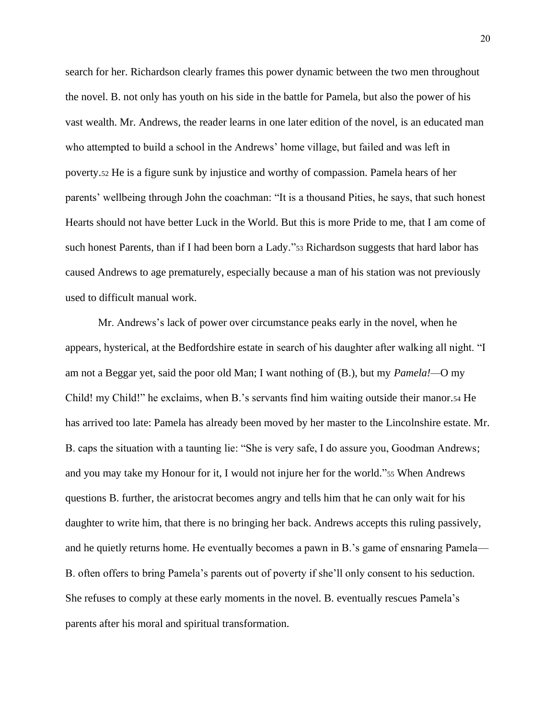search for her. Richardson clearly frames this power dynamic between the two men throughout the novel. B. not only has youth on his side in the battle for Pamela, but also the power of his vast wealth. Mr. Andrews, the reader learns in one later edition of the novel, is an educated man who attempted to build a school in the Andrews' home village, but failed and was left in poverty.<sup>52</sup> He is a figure sunk by injustice and worthy of compassion. Pamela hears of her parents' wellbeing through John the coachman: "It is a thousand Pities, he says, that such honest Hearts should not have better Luck in the World. But this is more Pride to me, that I am come of such honest Parents, than if I had been born a Lady."<sup>53</sup> Richardson suggests that hard labor has caused Andrews to age prematurely, especially because a man of his station was not previously used to difficult manual work.

Mr. Andrews's lack of power over circumstance peaks early in the novel, when he appears, hysterical, at the Bedfordshire estate in search of his daughter after walking all night. "I am not a Beggar yet, said the poor old Man; I want nothing of (B.), but my *Pamela!—*O my Child! my Child!" he exclaims, when B.'s servants find him waiting outside their manor.<sup>54</sup> He has arrived too late: Pamela has already been moved by her master to the Lincolnshire estate. Mr. B. caps the situation with a taunting lie: "She is very safe, I do assure you, Goodman Andrews; and you may take my Honour for it, I would not injure her for the world."<sup>55</sup> When Andrews questions B. further, the aristocrat becomes angry and tells him that he can only wait for his daughter to write him, that there is no bringing her back. Andrews accepts this ruling passively, and he quietly returns home. He eventually becomes a pawn in B.'s game of ensnaring Pamela— B. often offers to bring Pamela's parents out of poverty if she'll only consent to his seduction. She refuses to comply at these early moments in the novel. B. eventually rescues Pamela's parents after his moral and spiritual transformation.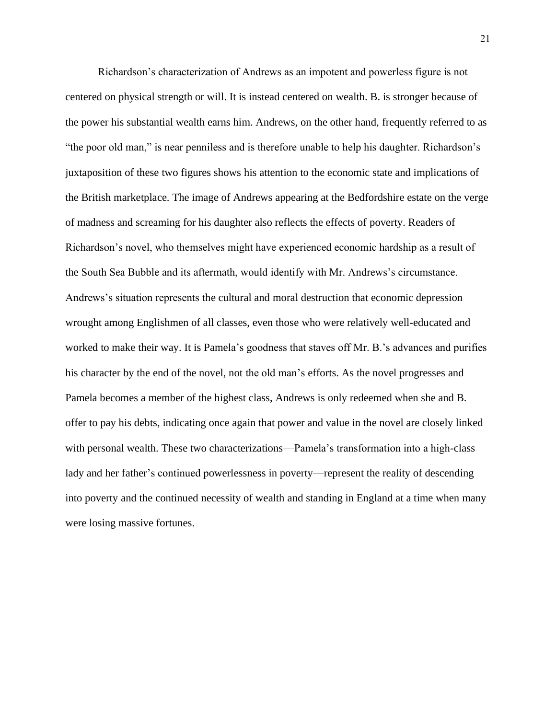Richardson's characterization of Andrews as an impotent and powerless figure is not centered on physical strength or will. It is instead centered on wealth. B. is stronger because of the power his substantial wealth earns him. Andrews, on the other hand, frequently referred to as "the poor old man," is near penniless and is therefore unable to help his daughter. Richardson's juxtaposition of these two figures shows his attention to the economic state and implications of the British marketplace. The image of Andrews appearing at the Bedfordshire estate on the verge of madness and screaming for his daughter also reflects the effects of poverty. Readers of Richardson's novel, who themselves might have experienced economic hardship as a result of the South Sea Bubble and its aftermath, would identify with Mr. Andrews's circumstance. Andrews's situation represents the cultural and moral destruction that economic depression wrought among Englishmen of all classes, even those who were relatively well-educated and worked to make their way. It is Pamela's goodness that staves off Mr. B.'s advances and purifies his character by the end of the novel, not the old man's efforts. As the novel progresses and Pamela becomes a member of the highest class, Andrews is only redeemed when she and B. offer to pay his debts, indicating once again that power and value in the novel are closely linked with personal wealth. These two characterizations—Pamela's transformation into a high-class lady and her father's continued powerlessness in poverty—represent the reality of descending into poverty and the continued necessity of wealth and standing in England at a time when many were losing massive fortunes.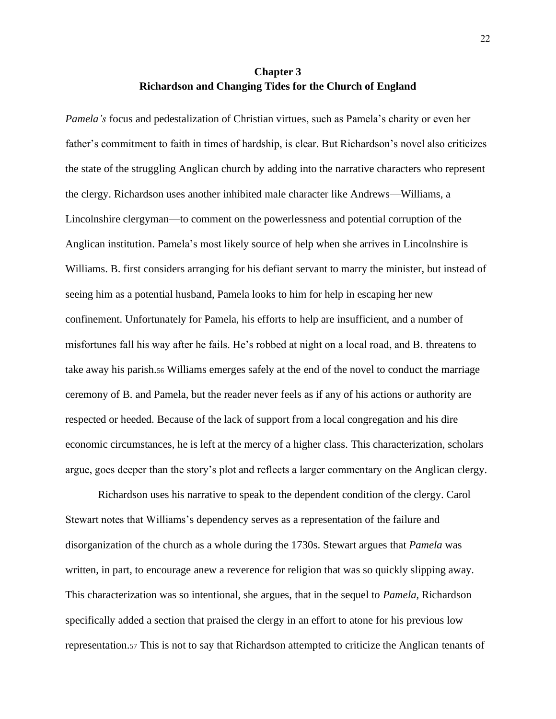# **Chapter 3 Richardson and Changing Tides for the Church of England**

<span id="page-26-0"></span>*Pamela's* focus and pedestalization of Christian virtues, such as Pamela's charity or even her father's commitment to faith in times of hardship, is clear. But Richardson's novel also criticizes the state of the struggling Anglican church by adding into the narrative characters who represent the clergy. Richardson uses another inhibited male character like Andrews—Williams, a Lincolnshire clergyman—to comment on the powerlessness and potential corruption of the Anglican institution. Pamela's most likely source of help when she arrives in Lincolnshire is Williams. B. first considers arranging for his defiant servant to marry the minister, but instead of seeing him as a potential husband, Pamela looks to him for help in escaping her new confinement. Unfortunately for Pamela, his efforts to help are insufficient, and a number of misfortunes fall his way after he fails. He's robbed at night on a local road, and B. threatens to take away his parish.<sup>56</sup> Williams emerges safely at the end of the novel to conduct the marriage ceremony of B. and Pamela, but the reader never feels as if any of his actions or authority are respected or heeded. Because of the lack of support from a local congregation and his dire economic circumstances, he is left at the mercy of a higher class. This characterization, scholars argue, goes deeper than the story's plot and reflects a larger commentary on the Anglican clergy.

Richardson uses his narrative to speak to the dependent condition of the clergy. Carol Stewart notes that Williams's dependency serves as a representation of the failure and disorganization of the church as a whole during the 1730s. Stewart argues that *Pamela* was written, in part, to encourage anew a reverence for religion that was so quickly slipping away. This characterization was so intentional, she argues, that in the sequel to *Pamela,* Richardson specifically added a section that praised the clergy in an effort to atone for his previous low representation.<sup>57</sup> This is not to say that Richardson attempted to criticize the Anglican tenants of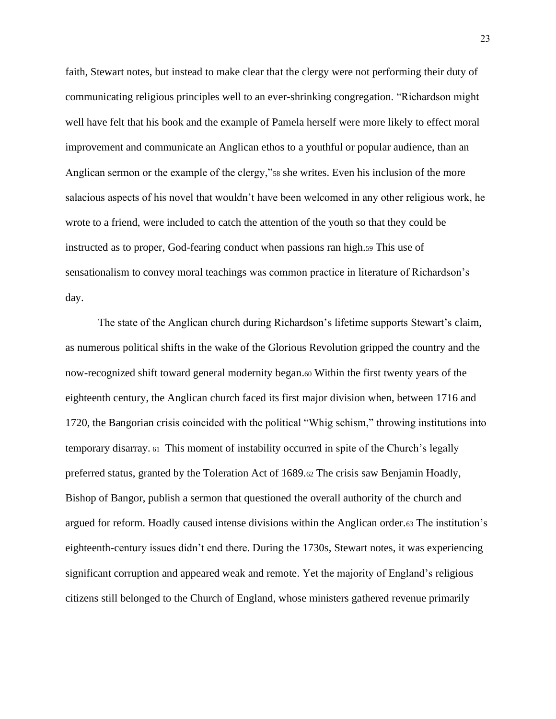faith, Stewart notes, but instead to make clear that the clergy were not performing their duty of communicating religious principles well to an ever-shrinking congregation. "Richardson might well have felt that his book and the example of Pamela herself were more likely to effect moral improvement and communicate an Anglican ethos to a youthful or popular audience, than an Anglican sermon or the example of the clergy,"<sup>58</sup> she writes. Even his inclusion of the more salacious aspects of his novel that wouldn't have been welcomed in any other religious work, he wrote to a friend, were included to catch the attention of the youth so that they could be instructed as to proper, God-fearing conduct when passions ran high.<sup>59</sup> This use of sensationalism to convey moral teachings was common practice in literature of Richardson's day.

The state of the Anglican church during Richardson's lifetime supports Stewart's claim, as numerous political shifts in the wake of the Glorious Revolution gripped the country and the now-recognized shift toward general modernity began.<sup>60</sup> Within the first twenty years of the eighteenth century, the Anglican church faced its first major division when, between 1716 and 1720, the Bangorian crisis coincided with the political "Whig schism," throwing institutions into temporary disarray. <sup>61</sup> This moment of instability occurred in spite of the Church's legally preferred status, granted by the Toleration Act of 1689.<sup>62</sup> The crisis saw Benjamin Hoadly, Bishop of Bangor, publish a sermon that questioned the overall authority of the church and argued for reform. Hoadly caused intense divisions within the Anglican order.<sup>63</sup> The institution's eighteenth-century issues didn't end there. During the 1730s, Stewart notes, it was experiencing significant corruption and appeared weak and remote. Yet the majority of England's religious citizens still belonged to the Church of England, whose ministers gathered revenue primarily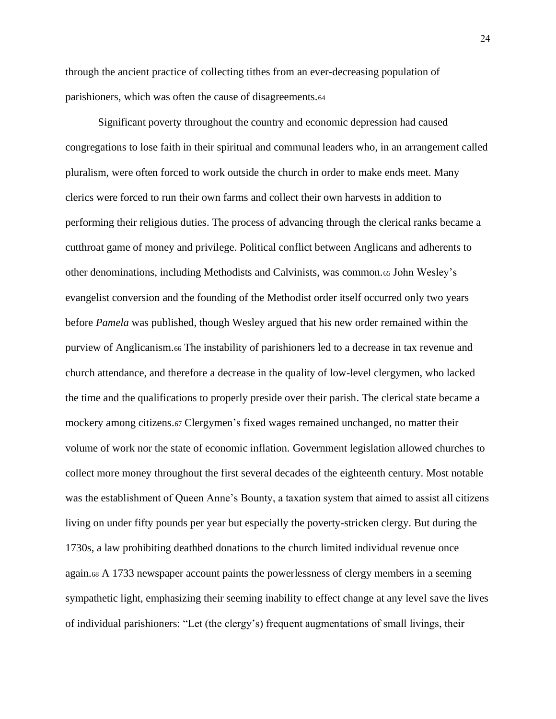through the ancient practice of collecting tithes from an ever-decreasing population of parishioners, which was often the cause of disagreements.<sup>64</sup>

Significant poverty throughout the country and economic depression had caused congregations to lose faith in their spiritual and communal leaders who, in an arrangement called pluralism, were often forced to work outside the church in order to make ends meet. Many clerics were forced to run their own farms and collect their own harvests in addition to performing their religious duties. The process of advancing through the clerical ranks became a cutthroat game of money and privilege. Political conflict between Anglicans and adherents to other denominations, including Methodists and Calvinists, was common.<sup>65</sup> John Wesley's evangelist conversion and the founding of the Methodist order itself occurred only two years before *Pamela* was published, though Wesley argued that his new order remained within the purview of Anglicanism.<sup>66</sup> The instability of parishioners led to a decrease in tax revenue and church attendance, and therefore a decrease in the quality of low-level clergymen, who lacked the time and the qualifications to properly preside over their parish. The clerical state became a mockery among citizens.<sup>67</sup> Clergymen's fixed wages remained unchanged, no matter their volume of work nor the state of economic inflation. Government legislation allowed churches to collect more money throughout the first several decades of the eighteenth century. Most notable was the establishment of Queen Anne's Bounty, a taxation system that aimed to assist all citizens living on under fifty pounds per year but especially the poverty-stricken clergy. But during the 1730s, a law prohibiting deathbed donations to the church limited individual revenue once again.<sup>68</sup> A 1733 newspaper account paints the powerlessness of clergy members in a seeming sympathetic light, emphasizing their seeming inability to effect change at any level save the lives of individual parishioners: "Let (the clergy's) frequent augmentations of small livings, their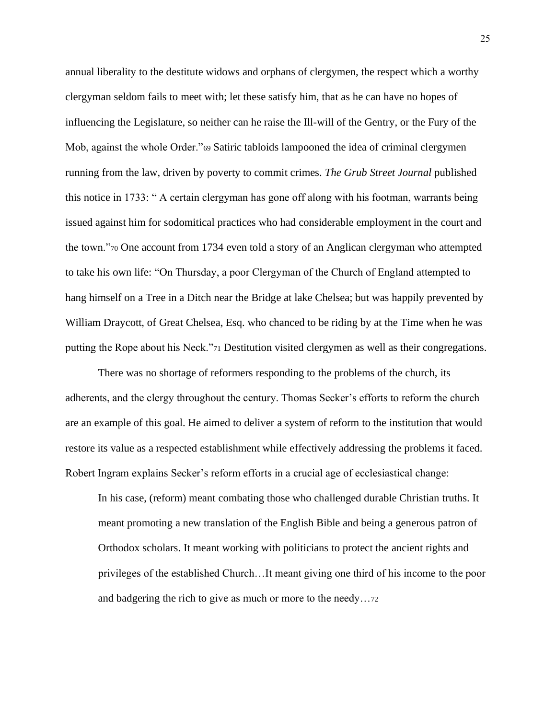annual liberality to the destitute widows and orphans of clergymen, the respect which a worthy clergyman seldom fails to meet with; let these satisfy him, that as he can have no hopes of influencing the Legislature, so neither can he raise the Ill-will of the Gentry, or the Fury of the Mob, against the whole Order."<sup>69</sup> Satiric tabloids lampooned the idea of criminal clergymen running from the law, driven by poverty to commit crimes. *The Grub Street Journal* published this notice in 1733: " A certain clergyman has gone off along with his footman, warrants being issued against him for sodomitical practices who had considerable employment in the court and the town."<sup>70</sup> One account from 1734 even told a story of an Anglican clergyman who attempted to take his own life: "On Thursday, a poor Clergyman of the Church of England attempted to hang himself on a Tree in a Ditch near the Bridge at lake Chelsea; but was happily prevented by William Draycott, of Great Chelsea, Esq. who chanced to be riding by at the Time when he was putting the Rope about his Neck."<sup>71</sup> Destitution visited clergymen as well as their congregations.

There was no shortage of reformers responding to the problems of the church, its adherents, and the clergy throughout the century. Thomas Secker's efforts to reform the church are an example of this goal. He aimed to deliver a system of reform to the institution that would restore its value as a respected establishment while effectively addressing the problems it faced. Robert Ingram explains Secker's reform efforts in a crucial age of ecclesiastical change:

In his case, (reform) meant combating those who challenged durable Christian truths. It meant promoting a new translation of the English Bible and being a generous patron of Orthodox scholars. It meant working with politicians to protect the ancient rights and privileges of the established Church…It meant giving one third of his income to the poor and badgering the rich to give as much or more to the needy…<sup>72</sup>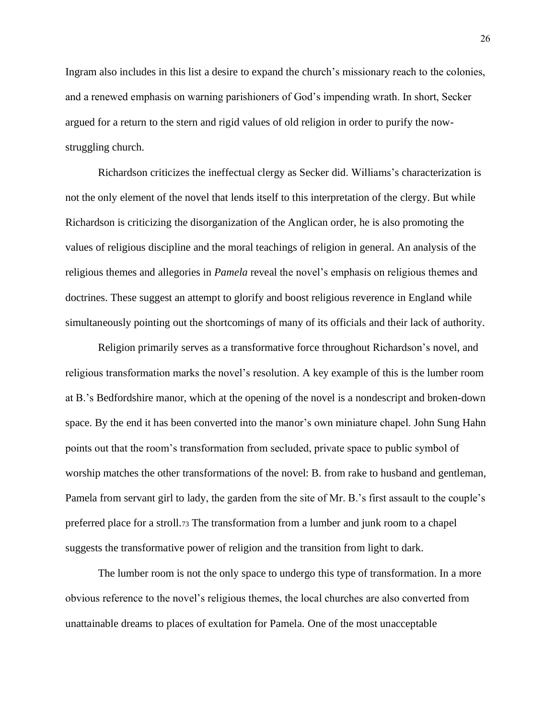Ingram also includes in this list a desire to expand the church's missionary reach to the colonies, and a renewed emphasis on warning parishioners of God's impending wrath. In short, Secker argued for a return to the stern and rigid values of old religion in order to purify the nowstruggling church.

Richardson criticizes the ineffectual clergy as Secker did. Williams's characterization is not the only element of the novel that lends itself to this interpretation of the clergy. But while Richardson is criticizing the disorganization of the Anglican order, he is also promoting the values of religious discipline and the moral teachings of religion in general. An analysis of the religious themes and allegories in *Pamela* reveal the novel's emphasis on religious themes and doctrines. These suggest an attempt to glorify and boost religious reverence in England while simultaneously pointing out the shortcomings of many of its officials and their lack of authority.

Religion primarily serves as a transformative force throughout Richardson's novel, and religious transformation marks the novel's resolution. A key example of this is the lumber room at B.'s Bedfordshire manor, which at the opening of the novel is a nondescript and broken-down space. By the end it has been converted into the manor's own miniature chapel. John Sung Hahn points out that the room's transformation from secluded, private space to public symbol of worship matches the other transformations of the novel: B. from rake to husband and gentleman, Pamela from servant girl to lady, the garden from the site of Mr. B.'s first assault to the couple's preferred place for a stroll.<sup>73</sup> The transformation from a lumber and junk room to a chapel suggests the transformative power of religion and the transition from light to dark.

The lumber room is not the only space to undergo this type of transformation. In a more obvious reference to the novel's religious themes, the local churches are also converted from unattainable dreams to places of exultation for Pamela. One of the most unacceptable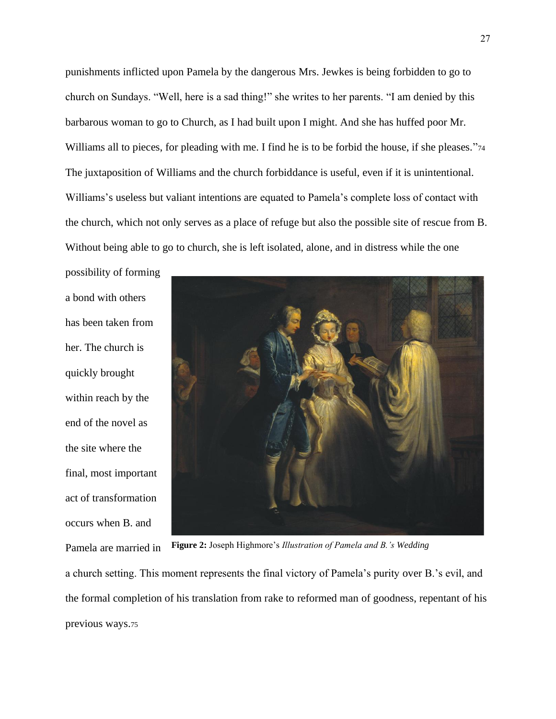punishments inflicted upon Pamela by the dangerous Mrs. Jewkes is being forbidden to go to church on Sundays. "Well, here is a sad thing!" she writes to her parents. "I am denied by this barbarous woman to go to Church, as I had built upon I might. And she has huffed poor Mr. Williams all to pieces, for pleading with me. I find he is to be forbid the house, if she pleases."74 The juxtaposition of Williams and the church forbiddance is useful, even if it is unintentional. Williams's useless but valiant intentions are equated to Pamela's complete loss of contact with the church, which not only serves as a place of refuge but also the possible site of rescue from B. Without being able to go to church, she is left isolated, alone, and in distress while the one

possibility of forming a bond with others has been taken from her. The church is quickly brought within reach by the end of the novel as the site where the final, most important act of transformation occurs when B. and Pamela are married in



**Figure 2:** Joseph Highmore's *Illustration of Pamela and B.'s Wedding*

a church setting. This moment represents the final victory of Pamela's purity over B.'s evil, and the formal completion of his translation from rake to reformed man of goodness, repentant of his previous ways.<sup>75</sup>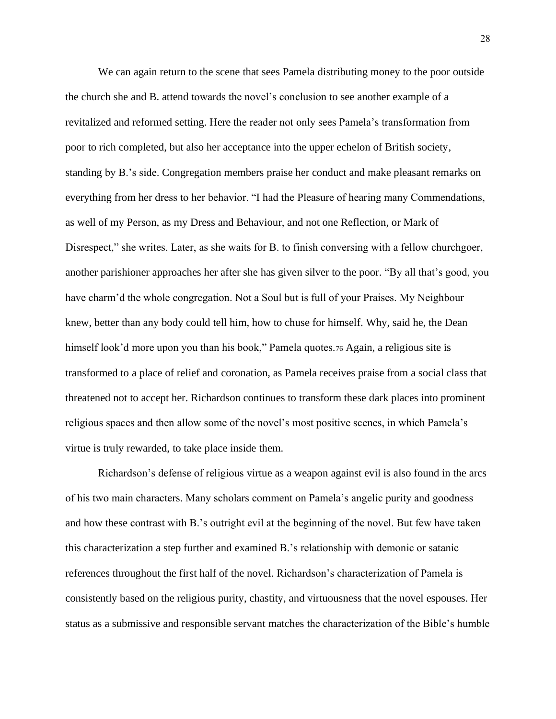We can again return to the scene that sees Pamela distributing money to the poor outside the church she and B. attend towards the novel's conclusion to see another example of a revitalized and reformed setting. Here the reader not only sees Pamela's transformation from poor to rich completed, but also her acceptance into the upper echelon of British society, standing by B.'s side. Congregation members praise her conduct and make pleasant remarks on everything from her dress to her behavior. "I had the Pleasure of hearing many Commendations, as well of my Person, as my Dress and Behaviour, and not one Reflection, or Mark of Disrespect," she writes. Later, as she waits for B. to finish conversing with a fellow churchgoer, another parishioner approaches her after she has given silver to the poor. "By all that's good, you have charm'd the whole congregation. Not a Soul but is full of your Praises. My Neighbour knew, better than any body could tell him, how to chuse for himself. Why, said he, the Dean himself look'd more upon you than his book," Pamela quotes.<sup>76</sup> Again, a religious site is transformed to a place of relief and coronation, as Pamela receives praise from a social class that threatened not to accept her. Richardson continues to transform these dark places into prominent religious spaces and then allow some of the novel's most positive scenes, in which Pamela's virtue is truly rewarded, to take place inside them.

Richardson's defense of religious virtue as a weapon against evil is also found in the arcs of his two main characters. Many scholars comment on Pamela's angelic purity and goodness and how these contrast with B.'s outright evil at the beginning of the novel. But few have taken this characterization a step further and examined B.'s relationship with demonic or satanic references throughout the first half of the novel. Richardson's characterization of Pamela is consistently based on the religious purity, chastity, and virtuousness that the novel espouses. Her status as a submissive and responsible servant matches the characterization of the Bible's humble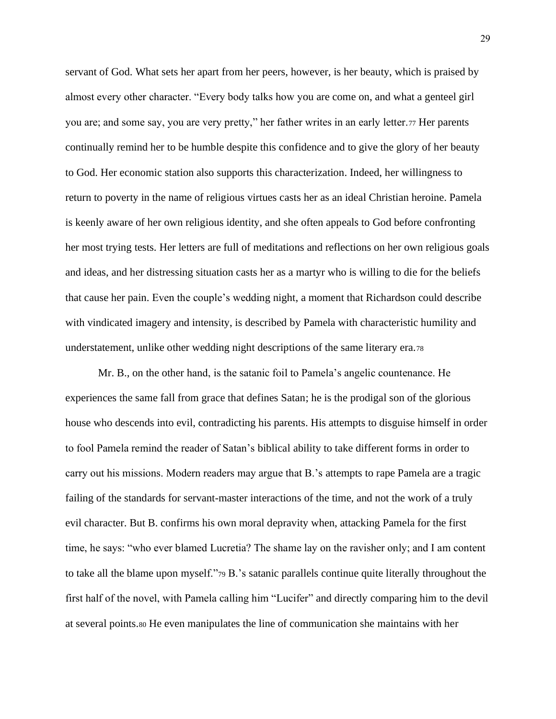servant of God. What sets her apart from her peers, however, is her beauty, which is praised by almost every other character. "Every body talks how you are come on, and what a genteel girl you are; and some say, you are very pretty," her father writes in an early letter.<sup>77</sup> Her parents continually remind her to be humble despite this confidence and to give the glory of her beauty to God. Her economic station also supports this characterization. Indeed, her willingness to return to poverty in the name of religious virtues casts her as an ideal Christian heroine. Pamela is keenly aware of her own religious identity, and she often appeals to God before confronting her most trying tests. Her letters are full of meditations and reflections on her own religious goals and ideas, and her distressing situation casts her as a martyr who is willing to die for the beliefs that cause her pain. Even the couple's wedding night, a moment that Richardson could describe with vindicated imagery and intensity, is described by Pamela with characteristic humility and understatement, unlike other wedding night descriptions of the same literary era.<sup>78</sup>

Mr. B., on the other hand, is the satanic foil to Pamela's angelic countenance. He experiences the same fall from grace that defines Satan; he is the prodigal son of the glorious house who descends into evil, contradicting his parents. His attempts to disguise himself in order to fool Pamela remind the reader of Satan's biblical ability to take different forms in order to carry out his missions. Modern readers may argue that B.'s attempts to rape Pamela are a tragic failing of the standards for servant-master interactions of the time, and not the work of a truly evil character. But B. confirms his own moral depravity when, attacking Pamela for the first time, he says: "who ever blamed Lucretia? The shame lay on the ravisher only; and I am content to take all the blame upon myself."<sup>79</sup> B.'s satanic parallels continue quite literally throughout the first half of the novel, with Pamela calling him "Lucifer" and directly comparing him to the devil at several points.<sup>80</sup> He even manipulates the line of communication she maintains with her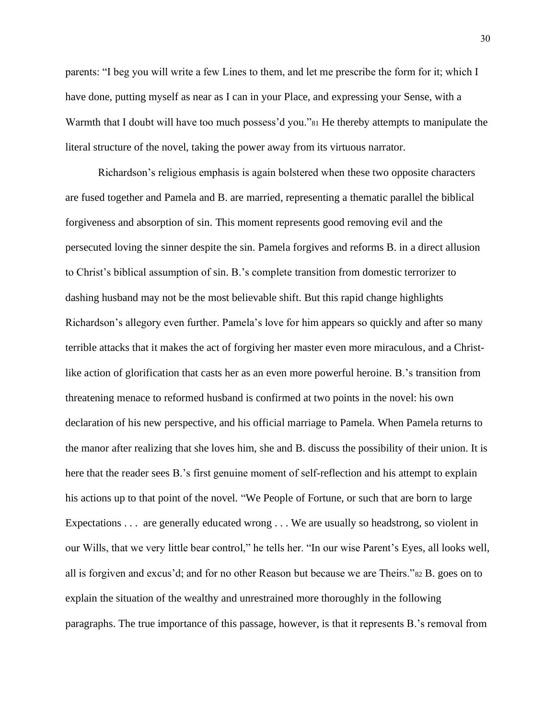parents: "I beg you will write a few Lines to them, and let me prescribe the form for it; which I have done, putting myself as near as I can in your Place, and expressing your Sense, with a Warmth that I doubt will have too much possess'd you."<sup>81</sup> He thereby attempts to manipulate the literal structure of the novel, taking the power away from its virtuous narrator.

Richardson's religious emphasis is again bolstered when these two opposite characters are fused together and Pamela and B. are married, representing a thematic parallel the biblical forgiveness and absorption of sin. This moment represents good removing evil and the persecuted loving the sinner despite the sin. Pamela forgives and reforms B. in a direct allusion to Christ's biblical assumption of sin. B.'s complete transition from domestic terrorizer to dashing husband may not be the most believable shift. But this rapid change highlights Richardson's allegory even further. Pamela's love for him appears so quickly and after so many terrible attacks that it makes the act of forgiving her master even more miraculous, and a Christlike action of glorification that casts her as an even more powerful heroine. B.'s transition from threatening menace to reformed husband is confirmed at two points in the novel: his own declaration of his new perspective, and his official marriage to Pamela. When Pamela returns to the manor after realizing that she loves him, she and B. discuss the possibility of their union. It is here that the reader sees B.'s first genuine moment of self-reflection and his attempt to explain his actions up to that point of the novel. "We People of Fortune, or such that are born to large Expectations . . . are generally educated wrong . . . We are usually so headstrong, so violent in our Wills, that we very little bear control," he tells her. "In our wise Parent's Eyes, all looks well, all is forgiven and excus'd; and for no other Reason but because we are Theirs."<sup>82</sup> B. goes on to explain the situation of the wealthy and unrestrained more thoroughly in the following paragraphs. The true importance of this passage, however, is that it represents B.'s removal from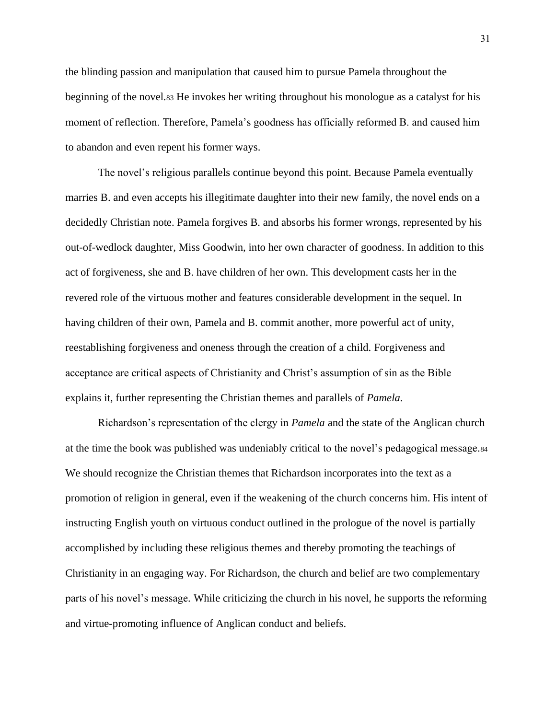the blinding passion and manipulation that caused him to pursue Pamela throughout the beginning of the novel.<sup>83</sup> He invokes her writing throughout his monologue as a catalyst for his moment of reflection. Therefore, Pamela's goodness has officially reformed B. and caused him to abandon and even repent his former ways.

The novel's religious parallels continue beyond this point. Because Pamela eventually marries B. and even accepts his illegitimate daughter into their new family, the novel ends on a decidedly Christian note. Pamela forgives B. and absorbs his former wrongs, represented by his out-of-wedlock daughter, Miss Goodwin, into her own character of goodness. In addition to this act of forgiveness, she and B. have children of her own. This development casts her in the revered role of the virtuous mother and features considerable development in the sequel. In having children of their own, Pamela and B. commit another, more powerful act of unity, reestablishing forgiveness and oneness through the creation of a child. Forgiveness and acceptance are critical aspects of Christianity and Christ's assumption of sin as the Bible explains it, further representing the Christian themes and parallels of *Pamela.*

Richardson's representation of the clergy in *Pamela* and the state of the Anglican church at the time the book was published was undeniably critical to the novel's pedagogical message.<sup>84</sup> We should recognize the Christian themes that Richardson incorporates into the text as a promotion of religion in general, even if the weakening of the church concerns him. His intent of instructing English youth on virtuous conduct outlined in the prologue of the novel is partially accomplished by including these religious themes and thereby promoting the teachings of Christianity in an engaging way. For Richardson, the church and belief are two complementary parts of his novel's message. While criticizing the church in his novel, he supports the reforming and virtue-promoting influence of Anglican conduct and beliefs.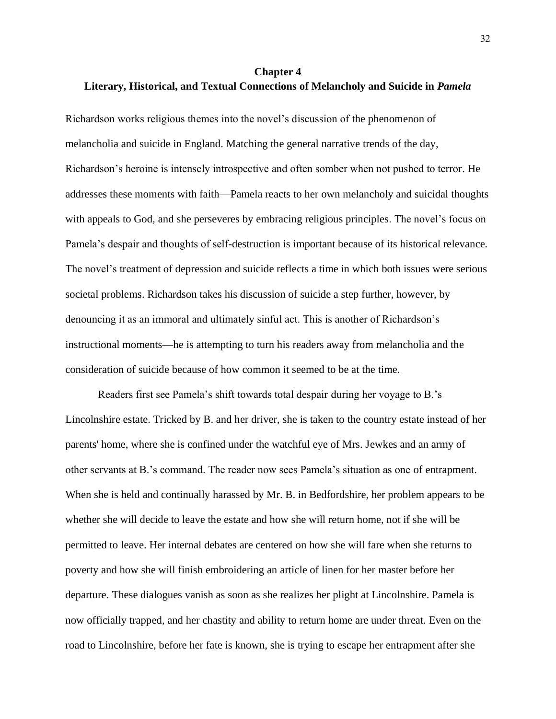# <span id="page-36-0"></span>**Chapter 4 Literary, Historical, and Textual Connections of Melancholy and Suicide in** *Pamela*

Richardson works religious themes into the novel's discussion of the phenomenon of melancholia and suicide in England. Matching the general narrative trends of the day, Richardson's heroine is intensely introspective and often somber when not pushed to terror. He addresses these moments with faith—Pamela reacts to her own melancholy and suicidal thoughts with appeals to God, and she perseveres by embracing religious principles. The novel's focus on Pamela's despair and thoughts of self-destruction is important because of its historical relevance. The novel's treatment of depression and suicide reflects a time in which both issues were serious societal problems. Richardson takes his discussion of suicide a step further, however, by denouncing it as an immoral and ultimately sinful act. This is another of Richardson's instructional moments—he is attempting to turn his readers away from melancholia and the consideration of suicide because of how common it seemed to be at the time.

Readers first see Pamela's shift towards total despair during her voyage to B.'s Lincolnshire estate. Tricked by B. and her driver, she is taken to the country estate instead of her parents' home, where she is confined under the watchful eye of Mrs. Jewkes and an army of other servants at B.'s command. The reader now sees Pamela's situation as one of entrapment. When she is held and continually harassed by Mr. B. in Bedfordshire, her problem appears to be whether she will decide to leave the estate and how she will return home, not if she will be permitted to leave. Her internal debates are centered on how she will fare when she returns to poverty and how she will finish embroidering an article of linen for her master before her departure. These dialogues vanish as soon as she realizes her plight at Lincolnshire. Pamela is now officially trapped, and her chastity and ability to return home are under threat. Even on the road to Lincolnshire, before her fate is known, she is trying to escape her entrapment after she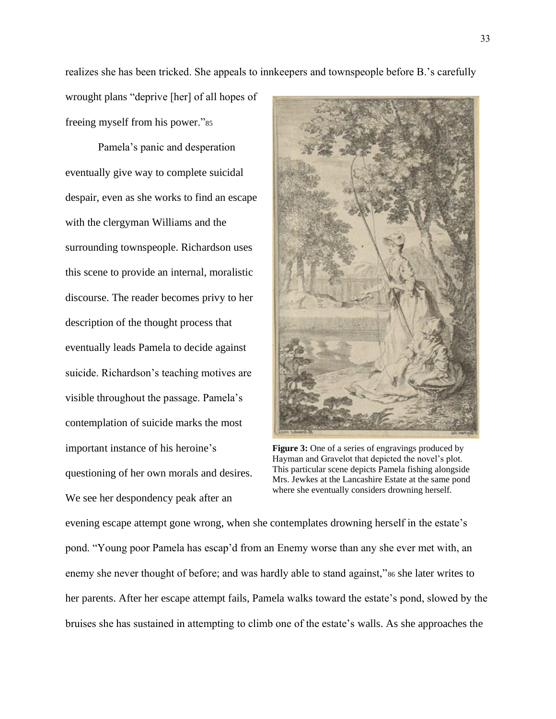realizes she has been tricked. She appeals to innkeepers and townspeople before B.'s carefully

wrought plans "deprive [her] of all hopes of freeing myself from his power."<sup>85</sup>

Pamela's panic and desperation eventually give way to complete suicidal despair, even as she works to find an escape with the clergyman Williams and the surrounding townspeople. Richardson uses this scene to provide an internal, moralistic discourse. The reader becomes privy to her description of the thought process that eventually leads Pamela to decide against suicide. Richardson's teaching motives are visible throughout the passage. Pamela's contemplation of suicide marks the most important instance of his heroine's questioning of her own morals and desires. We see her despondency peak after an



**Figure 3:** One of a series of engravings produced by Hayman and Gravelot that depicted the novel's plot. This particular scene depicts Pamela fishing alongside Mrs. Jewkes at the Lancashire Estate at the same pond where she eventually considers drowning herself.

evening escape attempt gone wrong, when she contemplates drowning herself in the estate's pond. "Young poor Pamela has escap'd from an Enemy worse than any she ever met with, an enemy she never thought of before; and was hardly able to stand against,"<sup>86</sup> she later writes to her parents. After her escape attempt fails, Pamela walks toward the estate's pond, slowed by the bruises she has sustained in attempting to climb one of the estate's walls. As she approaches the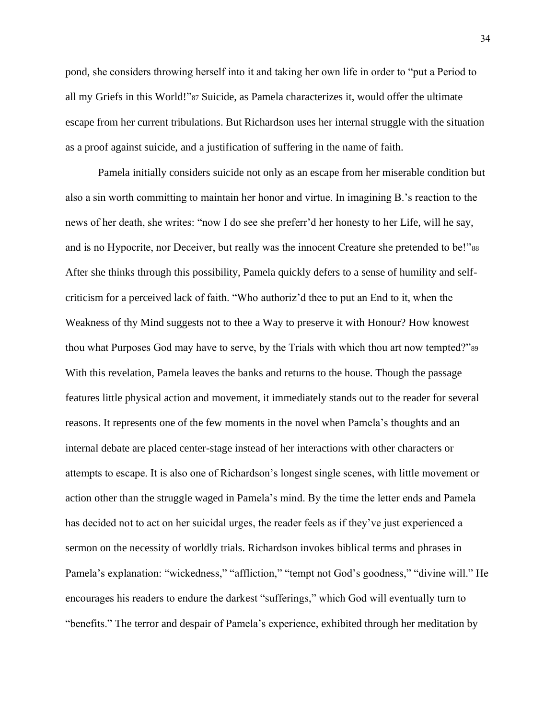pond, she considers throwing herself into it and taking her own life in order to "put a Period to all my Griefs in this World!"<sup>87</sup> Suicide, as Pamela characterizes it, would offer the ultimate escape from her current tribulations. But Richardson uses her internal struggle with the situation as a proof against suicide, and a justification of suffering in the name of faith.

Pamela initially considers suicide not only as an escape from her miserable condition but also a sin worth committing to maintain her honor and virtue. In imagining B.'s reaction to the news of her death, she writes: "now I do see she preferr'd her honesty to her Life, will he say, and is no Hypocrite, nor Deceiver, but really was the innocent Creature she pretended to be!"<sup>88</sup> After she thinks through this possibility, Pamela quickly defers to a sense of humility and selfcriticism for a perceived lack of faith. "Who authoriz'd thee to put an End to it, when the Weakness of thy Mind suggests not to thee a Way to preserve it with Honour? How knowest thou what Purposes God may have to serve, by the Trials with which thou art now tempted?"<sup>89</sup> With this revelation, Pamela leaves the banks and returns to the house. Though the passage features little physical action and movement, it immediately stands out to the reader for several reasons. It represents one of the few moments in the novel when Pamela's thoughts and an internal debate are placed center-stage instead of her interactions with other characters or attempts to escape. It is also one of Richardson's longest single scenes, with little movement or action other than the struggle waged in Pamela's mind. By the time the letter ends and Pamela has decided not to act on her suicidal urges, the reader feels as if they've just experienced a sermon on the necessity of worldly trials. Richardson invokes biblical terms and phrases in Pamela's explanation: "wickedness," "affliction," "tempt not God's goodness," "divine will." He encourages his readers to endure the darkest "sufferings," which God will eventually turn to "benefits." The terror and despair of Pamela's experience, exhibited through her meditation by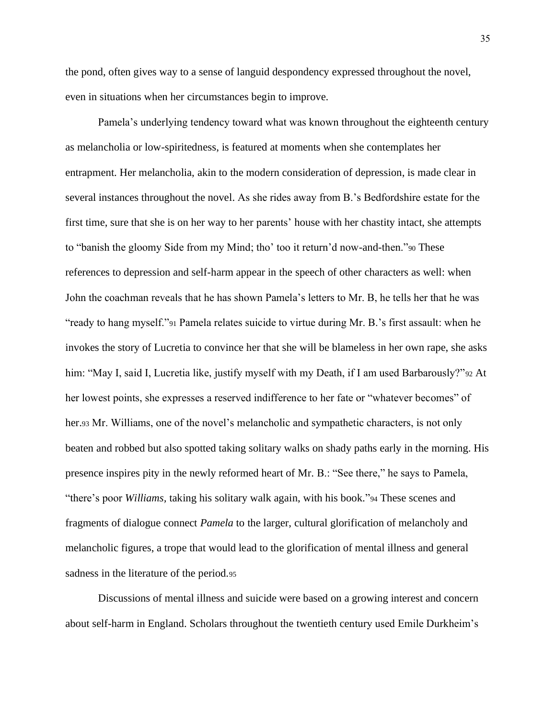the pond, often gives way to a sense of languid despondency expressed throughout the novel, even in situations when her circumstances begin to improve.

Pamela's underlying tendency toward what was known throughout the eighteenth century as melancholia or low-spiritedness, is featured at moments when she contemplates her entrapment. Her melancholia, akin to the modern consideration of depression, is made clear in several instances throughout the novel. As she rides away from B.'s Bedfordshire estate for the first time, sure that she is on her way to her parents' house with her chastity intact, she attempts to "banish the gloomy Side from my Mind; tho' too it return'd now-and-then."<sup>90</sup> These references to depression and self-harm appear in the speech of other characters as well: when John the coachman reveals that he has shown Pamela's letters to Mr. B, he tells her that he was "ready to hang myself."<sup>91</sup> Pamela relates suicide to virtue during Mr. B.'s first assault: when he invokes the story of Lucretia to convince her that she will be blameless in her own rape, she asks him: "May I, said I, Lucretia like, justify myself with my Death, if I am used Barbarously?"<sup>92</sup> At her lowest points, she expresses a reserved indifference to her fate or "whatever becomes" of her.<sup>93</sup> Mr. Williams, one of the novel's melancholic and sympathetic characters, is not only beaten and robbed but also spotted taking solitary walks on shady paths early in the morning. His presence inspires pity in the newly reformed heart of Mr. B.: "See there," he says to Pamela, "there's poor *Williams,* taking his solitary walk again, with his book."<sup>94</sup> These scenes and fragments of dialogue connect *Pamela* to the larger, cultural glorification of melancholy and melancholic figures, a trope that would lead to the glorification of mental illness and general sadness in the literature of the period.<sup>95</sup>

Discussions of mental illness and suicide were based on a growing interest and concern about self-harm in England. Scholars throughout the twentieth century used Emile Durkheim's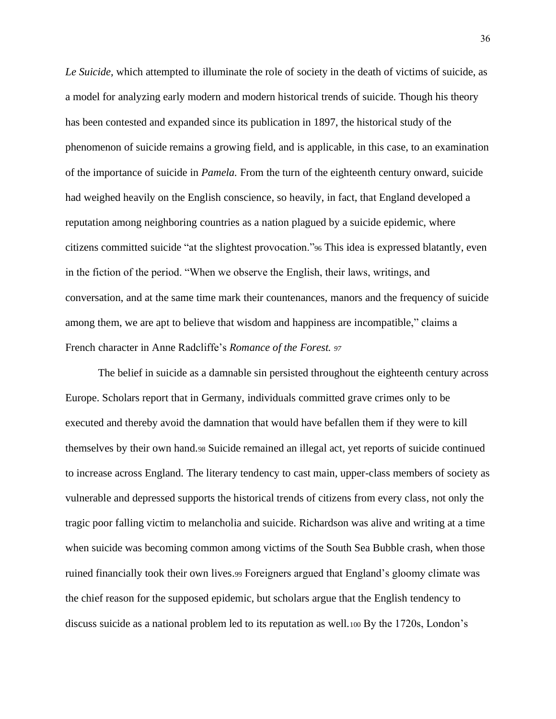*Le Suicide,* which attempted to illuminate the role of society in the death of victims of suicide, as a model for analyzing early modern and modern historical trends of suicide. Though his theory has been contested and expanded since its publication in 1897, the historical study of the phenomenon of suicide remains a growing field, and is applicable, in this case, to an examination of the importance of suicide in *Pamela.* From the turn of the eighteenth century onward, suicide had weighed heavily on the English conscience, so heavily, in fact, that England developed a reputation among neighboring countries as a nation plagued by a suicide epidemic, where citizens committed suicide "at the slightest provocation."<sup>96</sup> This idea is expressed blatantly, even in the fiction of the period. "When we observe the English, their laws, writings, and conversation, and at the same time mark their countenances, manors and the frequency of suicide among them, we are apt to believe that wisdom and happiness are incompatible," claims a French character in Anne Radcliffe's *Romance of the Forest. <sup>97</sup>*

The belief in suicide as a damnable sin persisted throughout the eighteenth century across Europe. Scholars report that in Germany, individuals committed grave crimes only to be executed and thereby avoid the damnation that would have befallen them if they were to kill themselves by their own hand.<sup>98</sup> Suicide remained an illegal act, yet reports of suicide continued to increase across England. The literary tendency to cast main, upper-class members of society as vulnerable and depressed supports the historical trends of citizens from every class, not only the tragic poor falling victim to melancholia and suicide. Richardson was alive and writing at a time when suicide was becoming common among victims of the South Sea Bubble crash, when those ruined financially took their own lives.<sup>99</sup> Foreigners argued that England's gloomy climate was the chief reason for the supposed epidemic, but scholars argue that the English tendency to discuss suicide as a national problem led to its reputation as well.<sup>100</sup> By the 1720s, London's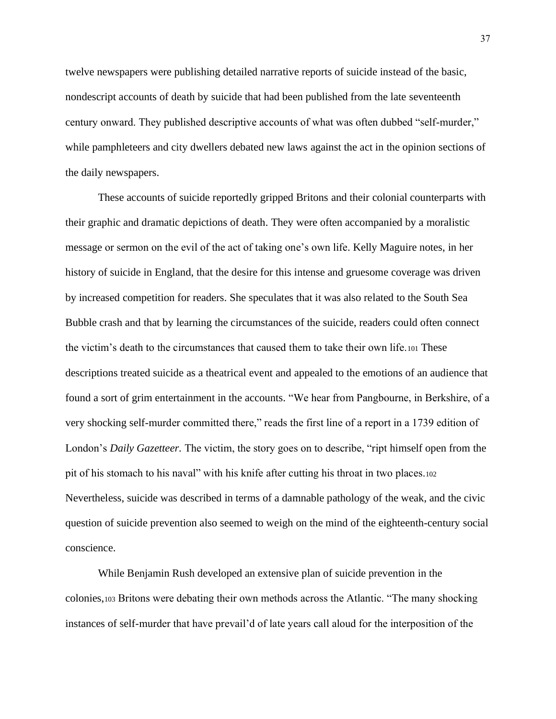twelve newspapers were publishing detailed narrative reports of suicide instead of the basic, nondescript accounts of death by suicide that had been published from the late seventeenth century onward. They published descriptive accounts of what was often dubbed "self-murder," while pamphleteers and city dwellers debated new laws against the act in the opinion sections of the daily newspapers.

These accounts of suicide reportedly gripped Britons and their colonial counterparts with their graphic and dramatic depictions of death. They were often accompanied by a moralistic message or sermon on the evil of the act of taking one's own life. Kelly Maguire notes, in her history of suicide in England, that the desire for this intense and gruesome coverage was driven by increased competition for readers. She speculates that it was also related to the South Sea Bubble crash and that by learning the circumstances of the suicide, readers could often connect the victim's death to the circumstances that caused them to take their own life.<sup>101</sup> These descriptions treated suicide as a theatrical event and appealed to the emotions of an audience that found a sort of grim entertainment in the accounts. "We hear from Pangbourne, in Berkshire, of a very shocking self-murder committed there," reads the first line of a report in a 1739 edition of London's *Daily Gazetteer.* The victim, the story goes on to describe, "ript himself open from the pit of his stomach to his naval" with his knife after cutting his throat in two places.<sup>102</sup> Nevertheless, suicide was described in terms of a damnable pathology of the weak, and the civic question of suicide prevention also seemed to weigh on the mind of the eighteenth-century social conscience.

While Benjamin Rush developed an extensive plan of suicide prevention in the colonies,<sup>103</sup> Britons were debating their own methods across the Atlantic. "The many shocking instances of self-murder that have prevail'd of late years call aloud for the interposition of the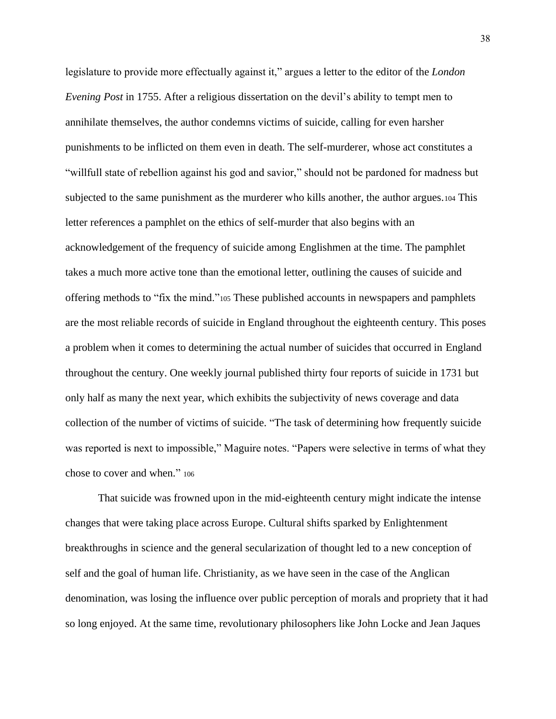legislature to provide more effectually against it," argues a letter to the editor of the *London Evening Post* in 1755. After a religious dissertation on the devil's ability to tempt men to annihilate themselves, the author condemns victims of suicide, calling for even harsher punishments to be inflicted on them even in death. The self-murderer, whose act constitutes a "willfull state of rebellion against his god and savior," should not be pardoned for madness but subjected to the same punishment as the murderer who kills another, the author argues.<sup>104</sup> This letter references a pamphlet on the ethics of self-murder that also begins with an acknowledgement of the frequency of suicide among Englishmen at the time. The pamphlet takes a much more active tone than the emotional letter, outlining the causes of suicide and offering methods to "fix the mind."<sup>105</sup> These published accounts in newspapers and pamphlets are the most reliable records of suicide in England throughout the eighteenth century. This poses a problem when it comes to determining the actual number of suicides that occurred in England throughout the century. One weekly journal published thirty four reports of suicide in 1731 but only half as many the next year, which exhibits the subjectivity of news coverage and data collection of the number of victims of suicide. "The task of determining how frequently suicide was reported is next to impossible," Maguire notes. "Papers were selective in terms of what they chose to cover and when." <sup>106</sup>

That suicide was frowned upon in the mid-eighteenth century might indicate the intense changes that were taking place across Europe. Cultural shifts sparked by Enlightenment breakthroughs in science and the general secularization of thought led to a new conception of self and the goal of human life. Christianity, as we have seen in the case of the Anglican denomination, was losing the influence over public perception of morals and propriety that it had so long enjoyed. At the same time, revolutionary philosophers like John Locke and Jean Jaques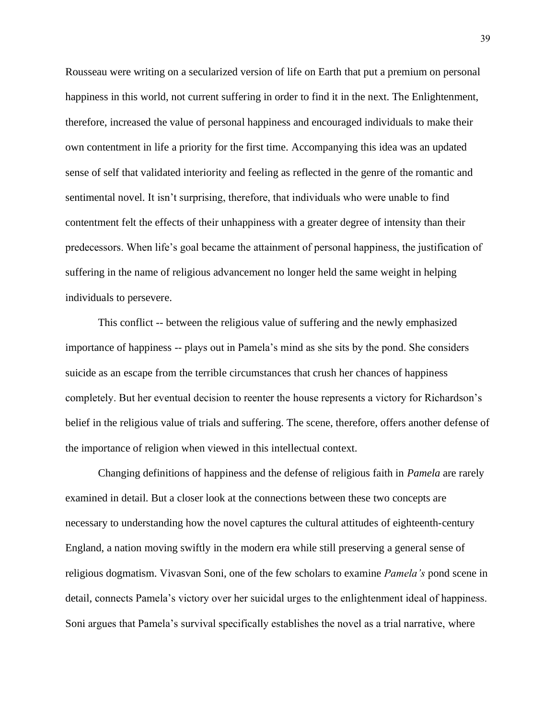Rousseau were writing on a secularized version of life on Earth that put a premium on personal happiness in this world, not current suffering in order to find it in the next. The Enlightenment, therefore, increased the value of personal happiness and encouraged individuals to make their own contentment in life a priority for the first time. Accompanying this idea was an updated sense of self that validated interiority and feeling as reflected in the genre of the romantic and sentimental novel. It isn't surprising, therefore, that individuals who were unable to find contentment felt the effects of their unhappiness with a greater degree of intensity than their predecessors. When life's goal became the attainment of personal happiness, the justification of suffering in the name of religious advancement no longer held the same weight in helping individuals to persevere.

This conflict -- between the religious value of suffering and the newly emphasized importance of happiness -- plays out in Pamela's mind as she sits by the pond. She considers suicide as an escape from the terrible circumstances that crush her chances of happiness completely. But her eventual decision to reenter the house represents a victory for Richardson's belief in the religious value of trials and suffering. The scene, therefore, offers another defense of the importance of religion when viewed in this intellectual context.

Changing definitions of happiness and the defense of religious faith in *Pamela* are rarely examined in detail. But a closer look at the connections between these two concepts are necessary to understanding how the novel captures the cultural attitudes of eighteenth-century England, a nation moving swiftly in the modern era while still preserving a general sense of religious dogmatism. Vivasvan Soni, one of the few scholars to examine *Pamela's* pond scene in detail, connects Pamela's victory over her suicidal urges to the enlightenment ideal of happiness. Soni argues that Pamela's survival specifically establishes the novel as a trial narrative, where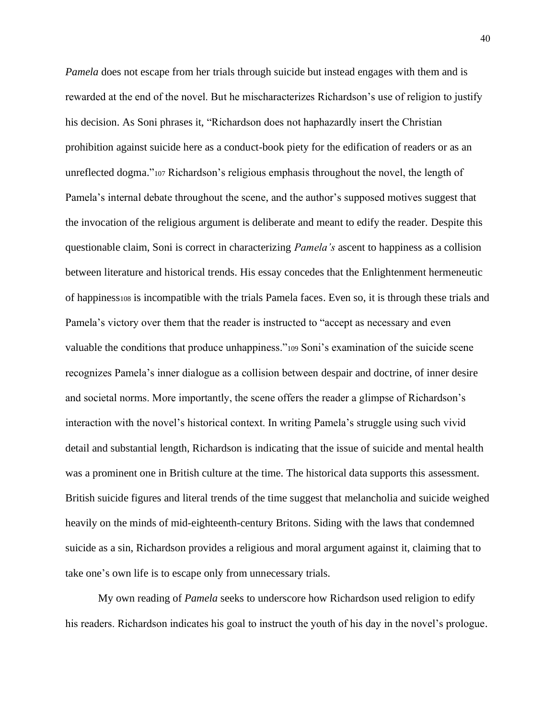*Pamela* does not escape from her trials through suicide but instead engages with them and is rewarded at the end of the novel. But he mischaracterizes Richardson's use of religion to justify his decision. As Soni phrases it, "Richardson does not haphazardly insert the Christian prohibition against suicide here as a conduct-book piety for the edification of readers or as an unreflected dogma."<sup>107</sup> Richardson's religious emphasis throughout the novel, the length of Pamela's internal debate throughout the scene, and the author's supposed motives suggest that the invocation of the religious argument is deliberate and meant to edify the reader. Despite this questionable claim, Soni is correct in characterizing *Pamela's* ascent to happiness as a collision between literature and historical trends. His essay concedes that the Enlightenment hermeneutic of happiness<sup>108</sup> is incompatible with the trials Pamela faces. Even so, it is through these trials and Pamela's victory over them that the reader is instructed to "accept as necessary and even valuable the conditions that produce unhappiness."<sup>109</sup> Soni's examination of the suicide scene recognizes Pamela's inner dialogue as a collision between despair and doctrine, of inner desire and societal norms. More importantly, the scene offers the reader a glimpse of Richardson's interaction with the novel's historical context. In writing Pamela's struggle using such vivid detail and substantial length, Richardson is indicating that the issue of suicide and mental health was a prominent one in British culture at the time. The historical data supports this assessment. British suicide figures and literal trends of the time suggest that melancholia and suicide weighed heavily on the minds of mid-eighteenth-century Britons. Siding with the laws that condemned suicide as a sin, Richardson provides a religious and moral argument against it, claiming that to take one's own life is to escape only from unnecessary trials.

My own reading of *Pamela* seeks to underscore how Richardson used religion to edify his readers. Richardson indicates his goal to instruct the youth of his day in the novel's prologue.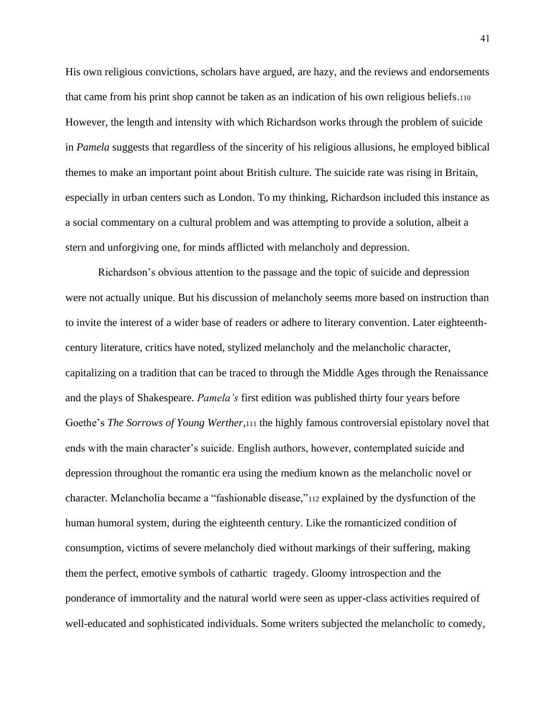His own religious convictions, scholars have argued, are hazy, and the reviews and endorsements that came from his print shop cannot be taken as an indication of his own religious beliefs.<sup>110</sup> However, the length and intensity with which Richardson works through the problem of suicide in *Pamela* suggests that regardless of the sincerity of his religious allusions, he employed biblical themes to make an important point about British culture. The suicide rate was rising in Britain, especially in urban centers such as London. To my thinking, Richardson included this instance as a social commentary on a cultural problem and was attempting to provide a solution, albeit a stern and unforgiving one, for minds afflicted with melancholy and depression.

Richardson's obvious attention to the passage and the topic of suicide and depression were not actually unique. But his discussion of melancholy seems more based on instruction than to invite the interest of a wider base of readers or adhere to literary convention. Later eighteenthcentury literature, critics have noted, stylized melancholy and the melancholic character, capitalizing on a tradition that can be traced to through the Middle Ages through the Renaissance and the plays of Shakespeare. *Pamela's* first edition was published thirty four years before Goethe's *The Sorrows of Young Werther*,<sup>111</sup> the highly famous controversial epistolary novel that ends with the main character's suicide. English authors, however, contemplated suicide and depression throughout the romantic era using the medium known as the melancholic novel or character. Melancholia became a "fashionable disease,"<sup>112</sup> explained by the dysfunction of the human humoral system, during the eighteenth century. Like the romanticized condition of consumption, victims of severe melancholy died without markings of their suffering, making them the perfect, emotive symbols of cathartic tragedy. Gloomy introspection and the ponderance of immortality and the natural world were seen as upper-class activities required of well-educated and sophisticated individuals. Some writers subjected the melancholic to comedy,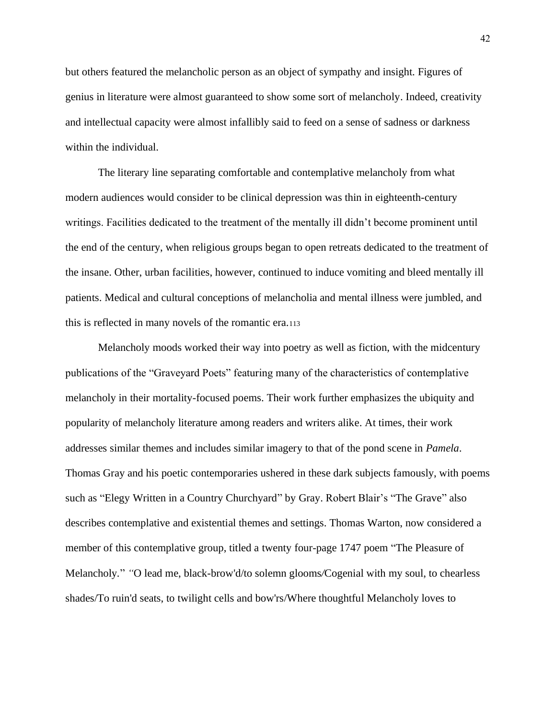but others featured the melancholic person as an object of sympathy and insight. Figures of genius in literature were almost guaranteed to show some sort of melancholy. Indeed, creativity and intellectual capacity were almost infallibly said to feed on a sense of sadness or darkness within the individual.

The literary line separating comfortable and contemplative melancholy from what modern audiences would consider to be clinical depression was thin in eighteenth-century writings. Facilities dedicated to the treatment of the mentally ill didn't become prominent until the end of the century, when religious groups began to open retreats dedicated to the treatment of the insane. Other, urban facilities, however, continued to induce vomiting and bleed mentally ill patients. Medical and cultural conceptions of melancholia and mental illness were jumbled, and this is reflected in many novels of the romantic era.<sup>113</sup>

Melancholy moods worked their way into poetry as well as fiction, with the midcentury publications of the "Graveyard Poets" featuring many of the characteristics of contemplative melancholy in their mortality-focused poems. Their work further emphasizes the ubiquity and popularity of melancholy literature among readers and writers alike. At times, their work addresses similar themes and includes similar imagery to that of the pond scene in *Pamela*. Thomas Gray and his poetic contemporaries ushered in these dark subjects famously, with poems such as "Elegy Written in a Country Churchyard" by Gray. Robert Blair's "The Grave" also describes contemplative and existential themes and settings. Thomas Warton, now considered a member of this contemplative group, titled a twenty four-page 1747 poem "The Pleasure of Melancholy*.*" *"*O lead me, black-brow'd/to solemn glooms*/*Cogenial with my soul, to chearless shades/To ruin'd seats, to twilight cells and bow'rs/Where thoughtful Melancholy loves to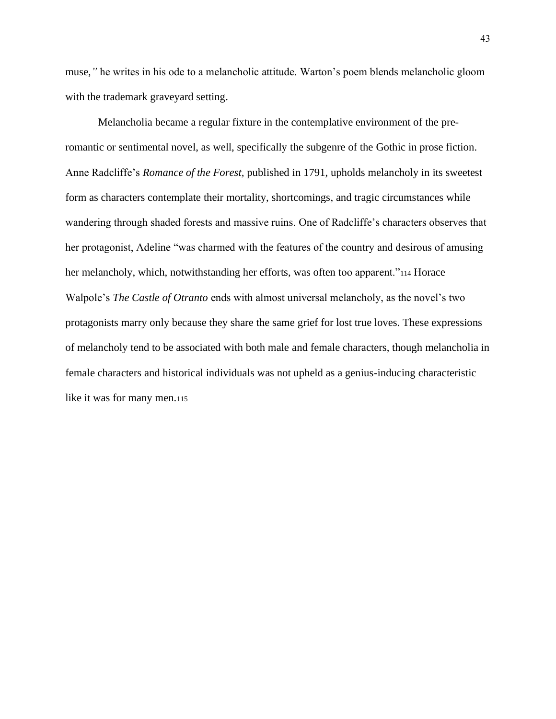muse,*"* he writes in his ode to a melancholic attitude. Warton's poem blends melancholic gloom with the trademark graveyard setting.

Melancholia became a regular fixture in the contemplative environment of the preromantic or sentimental novel, as well, specifically the subgenre of the Gothic in prose fiction. Anne Radcliffe's *Romance of the Forest,* published in 1791, upholds melancholy in its sweetest form as characters contemplate their mortality, shortcomings, and tragic circumstances while wandering through shaded forests and massive ruins. One of Radcliffe's characters observes that her protagonist, Adeline "was charmed with the features of the country and desirous of amusing her melancholy, which, notwithstanding her efforts, was often too apparent."<sup>114</sup> Horace Walpole's *The Castle of Otranto* ends with almost universal melancholy, as the novel's two protagonists marry only because they share the same grief for lost true loves. These expressions of melancholy tend to be associated with both male and female characters, though melancholia in female characters and historical individuals was not upheld as a genius-inducing characteristic like it was for many men.115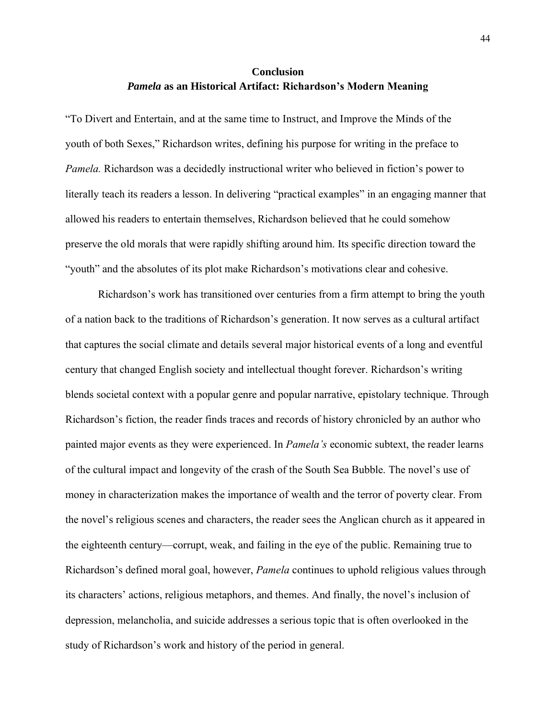# **Conclusion** *Pamela* **as an Historical Artifact: Richardson's Modern Meaning**

<span id="page-48-0"></span>"To Divert and Entertain, and at the same time to Instruct, and Improve the Minds of the youth of both Sexes," Richardson writes, defining his purpose for writing in the preface to *Pamela.* Richardson was a decidedly instructional writer who believed in fiction's power to literally teach its readers a lesson. In delivering "practical examples" in an engaging manner that allowed his readers to entertain themselves, Richardson believed that he could somehow preserve the old morals that were rapidly shifting around him. Its specific direction toward the "youth" and the absolutes of its plot make Richardson's motivations clear and cohesive.

Richardson's work has transitioned over centuries from a firm attempt to bring the youth of a nation back to the traditions of Richardson's generation. It now serves as a cultural artifact that captures the social climate and details several major historical events of a long and eventful century that changed English society and intellectual thought forever. Richardson's writing blends societal context with a popular genre and popular narrative, epistolary technique. Through Richardson's fiction, the reader finds traces and records of history chronicled by an author who painted major events as they were experienced. In *Pamela's* economic subtext, the reader learns of the cultural impact and longevity of the crash of the South Sea Bubble. The novel's use of money in characterization makes the importance of wealth and the terror of poverty clear. From the novel's religious scenes and characters, the reader sees the Anglican church as it appeared in the eighteenth century—corrupt, weak, and failing in the eye of the public. Remaining true to Richardson's defined moral goal, however, *Pamela* continues to uphold religious values through its characters' actions, religious metaphors, and themes. And finally, the novel's inclusion of depression, melancholia, and suicide addresses a serious topic that is often overlooked in the study of Richardson's work and history of the period in general.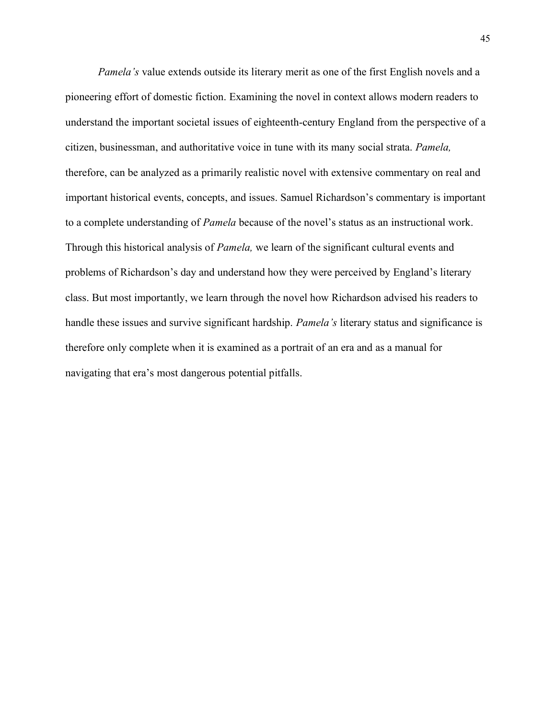*Pamela's* value extends outside its literary merit as one of the first English novels and a pioneering effort of domestic fiction. Examining the novel in context allows modern readers to understand the important societal issues of eighteenth-century England from the perspective of a citizen, businessman, and authoritative voice in tune with its many social strata. *Pamela,*  therefore, can be analyzed as a primarily realistic novel with extensive commentary on real and important historical events, concepts, and issues. Samuel Richardson's commentary is important to a complete understanding of *Pamela* because of the novel's status as an instructional work. Through this historical analysis of *Pamela,* we learn of the significant cultural events and problems of Richardson's day and understand how they were perceived by England's literary class. But most importantly, we learn through the novel how Richardson advised his readers to handle these issues and survive significant hardship. *Pamela's* literary status and significance is therefore only complete when it is examined as a portrait of an era and as a manual for navigating that era's most dangerous potential pitfalls.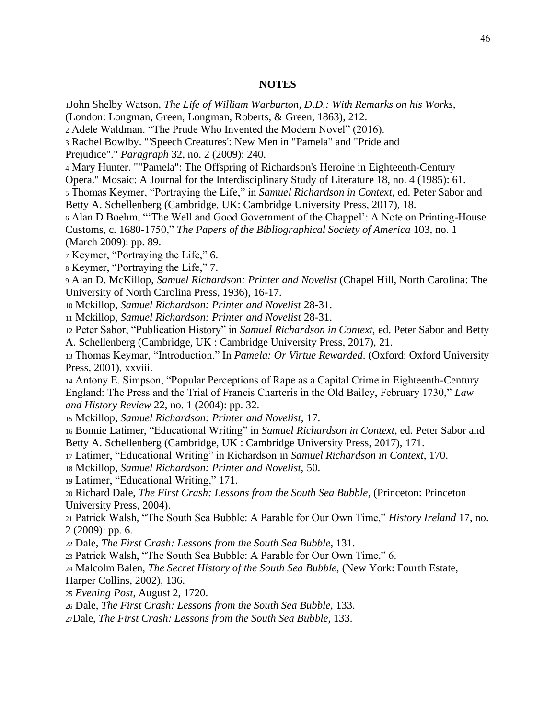#### **NOTES**

<span id="page-50-0"></span>John Shelby Watson, *The Life of William Warburton, D.D.: With Remarks on his Works,* 

(London: Longman, Green, Longman, Roberts, & Green, 1863), 212.

Adele Waldman. "The Prude Who Invented the Modern Novel" (2016).

Rachel Bowlby. "'Speech Creatures': New Men in "Pamela" and "Pride and

Prejudice"." *Paragraph* 32, no. 2 (2009): 240.

Mary Hunter. ""Pamela": The Offspring of Richardson's Heroine in Eighteenth-Century

Opera." Mosaic: A Journal for the Interdisciplinary Study of Literature 18, no. 4 (1985): 61.

 Thomas Keymer, "Portraying the Life," in *Samuel Richardson in Context,* ed. Peter Sabor and Betty A. Schellenberg (Cambridge, UK: Cambridge University Press, 2017), 18.

 Alan D Boehm, "'The Well and Good Government of the Chappel': A Note on Printing-House Customs, c. 1680-1750," *The Papers of the Bibliographical Society of America* 103, no. 1 (March 2009): pp. 89.

Keymer, "Portraying the Life," 6.

Keymer, "Portraying the Life," 7.

 Alan D. McKillop, *Samuel Richardson: Printer and Novelist* (Chapel Hill, North Carolina: The University of North Carolina Press, 1936), 16-17.

Mckillop, *Samuel Richardson: Printer and Novelist* 28-31.

Mckillop, *Samuel Richardson: Printer and Novelist* 28-31.

 Peter Sabor, "Publication History" in *Samuel Richardson in Context,* ed. Peter Sabor and Betty A. Schellenberg (Cambridge, UK : Cambridge University Press, 2017), 21.

 Thomas Keymar, "Introduction." In *Pamela: Or Virtue Rewarded*. (Oxford: Oxford University Press, 2001), xxviii.

 Antony E. Simpson, "Popular Perceptions of Rape as a Capital Crime in Eighteenth-Century England: The Press and the Trial of Francis Charteris in the Old Bailey, February 1730," *Law and History Review* 22, no. 1 (2004): pp. 32.

Mckillop, *Samuel Richardson: Printer and Novelist,* 17.

 Bonnie Latimer, "Educational Writing" in *Samuel Richardson in Context*, ed. Peter Sabor and Betty A. Schellenberg (Cambridge, UK : Cambridge University Press, 2017), 171.

Latimer, "Educational Writing" in Richardson in *Samuel Richardson in Context*, 170.

Mckillop, *Samuel Richardson: Printer and Novelist,* 50.

Latimer, "Educational Writing," 171.

 Richard Dale, *The First Crash: Lessons from the South Sea Bubble*, (Princeton: Princeton University Press, 2004).

 Patrick Walsh, "The South Sea Bubble: A Parable for Our Own Time," *History Ireland* 17, no. 2 (2009): pp. 6.

Dale, *The First Crash: Lessons from the South Sea Bubble*, 131.

Patrick Walsh, "The South Sea Bubble: A Parable for Our Own Time," 6.

Malcolm Balen, *The Secret History of the South Sea Bubble,* (New York: Fourth Estate,

Harper Collins, 2002), 136.

*Evening Post*, August 2, 1720.

Dale, *The First Crash: Lessons from the South Sea Bubble,* 133.

Dale, *The First Crash: Lessons from the South Sea Bubble,* 133.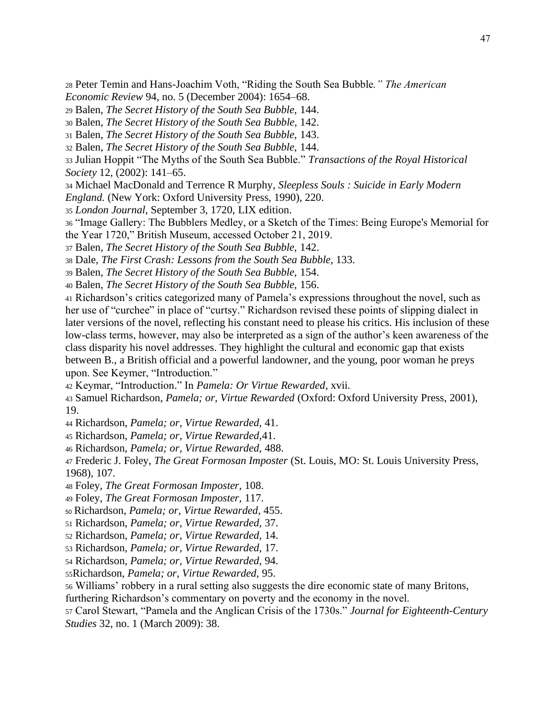Peter Temin and Hans-Joachim Voth, "Riding the South Sea Bubble*." The American Economic Review* 94, no. 5 (December 2004): 1654–68.

Balen, *The Secret History of the South Sea Bubble,* 144.

Balen, *The Secret History of the South Sea Bubble,* 142.

Balen, *The Secret History of the South Sea Bubble,* 143.

Balen, *The Secret History of the South Sea Bubble,* 144.

 Julian Hoppit "The Myths of the South Sea Bubble." *Transactions of the Royal Historical Society* 12, (2002): 141–65.

 Michael MacDonald and Terrence R Murphy, *Sleepless Souls : Suicide in Early Modern England.* (New York: Oxford University Press, 1990), 220.

*London Journal*, September 3, 1720, LIX edition.

 "Image Gallery: The Bubblers Medley, or a Sketch of the Times: Being Europe's Memorial for the Year 1720," British Museum, accessed October 21, 2019.

Balen, *The Secret History of the South Sea Bubble,* 142.

Dale, *The First Crash: Lessons from the South Sea Bubble,* 133.

Balen, *The Secret History of the South Sea Bubble,* 154.

Balen, *The Secret History of the South Sea Bubble,* 156.

 Richardson's critics categorized many of Pamela's expressions throughout the novel, such as her use of "curchee" in place of "curtsy." Richardson revised these points of slipping dialect in later versions of the novel, reflecting his constant need to please his critics. His inclusion of these low-class terms, however, may also be interpreted as a sign of the author's keen awareness of the class disparity his novel addresses. They highlight the cultural and economic gap that exists between B., a British official and a powerful landowner, and the young, poor woman he preys upon. See Keymer, "Introduction."

Keymar, "Introduction." In *Pamela: Or Virtue Rewarded*, xvii.

 Samuel Richardson, *Pamela; or, Virtue Rewarded* (Oxford: Oxford University Press, 2001), 19.

Richardson, *Pamela; or, Virtue Rewarded,* 41.

Richardson, *Pamela; or, Virtue Rewarded,*41.

Richardson, *Pamela; or, Virtue Rewarded,* 488.

 Frederic J. Foley, *The Great Formosan Imposter* (St. Louis, MO: St. Louis University Press, 1968), 107.

Foley, *The Great Formosan Imposter,* 108.

Foley, *The Great Formosan Imposter,* 117.

Richardson, *Pamela; or, Virtue Rewarded,* 455.

Richardson, *Pamela; or, Virtue Rewarded,* 37.

Richardson, *Pamela; or, Virtue Rewarded,* 14.

Richardson, *Pamela; or, Virtue Rewarded,* 17.

Richardson, *Pamela; or, Virtue Rewarded,* 94.

Richardson, *Pamela; or, Virtue Rewarded,* 95.

Williams' robbery in a rural setting also suggests the dire economic state of many Britons,

furthering Richardson's commentary on poverty and the economy in the novel.

 Carol Stewart, "Pamela and the Anglican Crisis of the 1730s." *Journal for Eighteenth-Century Studies* 32, no. 1 (March 2009): 38.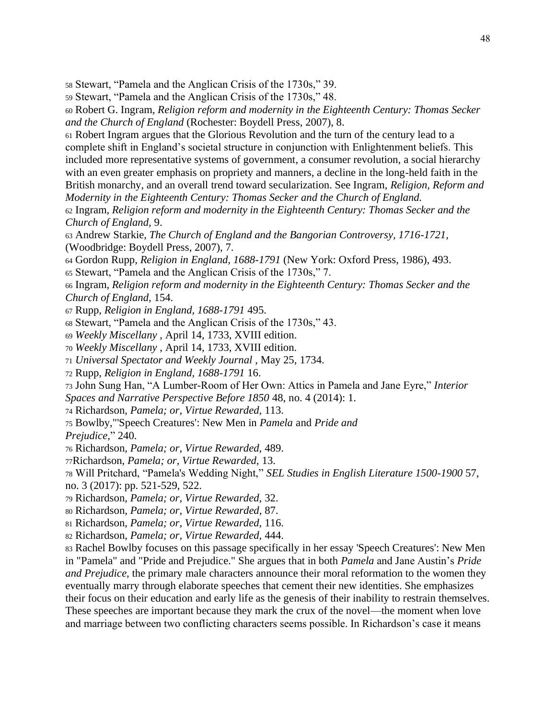<sup>58</sup> Stewart, "Pamela and the Anglican Crisis of the 1730s," 39.

<sup>59</sup> Stewart, "Pamela and the Anglican Crisis of the 1730s," 48.

<sup>60</sup> Robert G. Ingram, *Religion reform and modernity in the Eighteenth Century: Thomas Secker and the Church of England* (Rochester: Boydell Press, 2007), 8.

<sup>61</sup> Robert Ingram argues that the Glorious Revolution and the turn of the century lead to a complete shift in England's societal structure in conjunction with Enlightenment beliefs. This included more representative systems of government, a consumer revolution, a social hierarchy with an even greater emphasis on propriety and manners, a decline in the long-held faith in the British monarchy, and an overall trend toward secularization. See Ingram, *Religion, Reform and* 

*Modernity in the Eighteenth Century: Thomas Secker and the Church of England.*

<sup>62</sup> Ingram, *Religion reform and modernity in the Eighteenth Century: Thomas Secker and the Church of England,* 9.

<sup>63</sup> Andrew Starkie, *The Church of England and the Bangorian Controversy, 1716-1721,*  (Woodbridge: Boydell Press, 2007), 7.

<sup>64</sup> Gordon Rupp, *Religion in England, 1688-1791* (New York: Oxford Press, 1986), 493.

<sup>65</sup> Stewart, "Pamela and the Anglican Crisis of the 1730s," 7.

<sup>66</sup> Ingram, *Religion reform and modernity in the Eighteenth Century: Thomas Secker and the Church of England,* 154.

<sup>67</sup> Rupp, *Religion in England, 1688-1791* 495.

<sup>68</sup> Stewart, "Pamela and the Anglican Crisis of the 1730s," 43.

<sup>69</sup> *Weekly Miscellany* , April 14, 1733, XVIII edition.

<sup>70</sup> *Weekly Miscellany* , April 14, 1733, XVIII edition.

<sup>71</sup> *Universal Spectator and Weekly Journal* , May 25, 1734.

<sup>72</sup> Rupp, *Religion in England, 1688-1791* 16.

<sup>73</sup> John Sung Han, "A Lumber-Room of Her Own: Attics in Pamela and Jane Eyre," *Interior Spaces and Narrative Perspective Before 1850* 48, no. 4 (2014): 1.

<sup>74</sup> Richardson, *Pamela; or, Virtue Rewarded,* 113.

<sup>75</sup> Bowlby,"'Speech Creatures': New Men in *Pamela* and *Pride and*

*Prejudice,*" 240.

<sup>76</sup> Richardson, *Pamela; or, Virtue Rewarded,* 489.

<sup>77</sup>Richardson, *Pamela; or, Virtue Rewarded,* 13.

<sup>78</sup> Will Pritchard, "Pamela's Wedding Night," *SEL Studies in English Literature 1500-1900* 57, no. 3 (2017): pp. 521-529, 522.

<sup>79</sup> Richardson, *Pamela; or, Virtue Rewarded,* 32.

<sup>80</sup> Richardson, *Pamela; or, Virtue Rewarded,* 87.

<sup>81</sup> Richardson, *Pamela; or, Virtue Rewarded,* 116.

<sup>82</sup> Richardson, *Pamela; or, Virtue Rewarded,* 444.

<sup>83</sup> Rachel Bowlby focuses on this passage specifically in her essay 'Speech Creatures': New Men in "Pamela" and "Pride and Prejudice." She argues that in both *Pamela* and Jane Austin's *Pride and Prejudice*, the primary male characters announce their moral reformation to the women they eventually marry through elaborate speeches that cement their new identities. She emphasizes their focus on their education and early life as the genesis of their inability to restrain themselves. These speeches are important because they mark the crux of the novel—the moment when love and marriage between two conflicting characters seems possible. In Richardson's case it means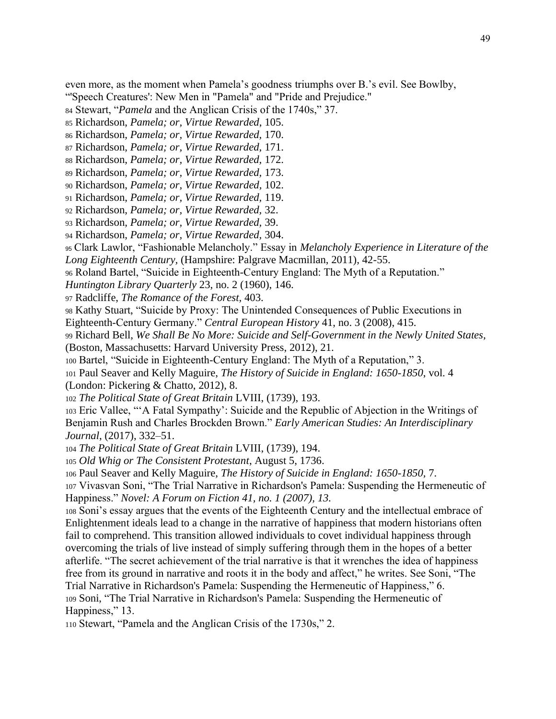even more, as the moment when Pamela's goodness triumphs over B.'s evil. See Bowlby,

"'Speech Creatures': New Men in "Pamela" and "Pride and Prejudice."

Stewart, "*Pamela* and the Anglican Crisis of the 1740s," 37.

Richardson, *Pamela; or, Virtue Rewarded*, 105.

Richardson, *Pamela; or, Virtue Rewarded,* 170.

Richardson, *Pamela; or, Virtue Rewarded,* 171.

Richardson, *Pamela; or, Virtue Rewarded,* 172.

Richardson, *Pamela; or, Virtue Rewarded,* 173.

Richardson, *Pamela; or, Virtue Rewarded,* 102.

Richardson, *Pamela; or, Virtue Rewarded,* 119.

Richardson, *Pamela; or, Virtue Rewarded,* 32.

Richardson, *Pamela; or, Virtue Rewarded,* 39.

Richardson, *Pamela; or, Virtue Rewarded,* 304.

 Clark Lawlor, "Fashionable Melancholy." Essay in *Melancholy Experience in Literature of the Long Eighteenth Century,* (Hampshire: Palgrave Macmillan, 2011), 42-55.

Roland Bartel, "Suicide in Eighteenth-Century England: The Myth of a Reputation."

*Huntington Library Quarterly* 23, no. 2 (1960), 146.

Radcliffe, *The Romance of the Forest,* 403.

 Kathy Stuart, "Suicide by Proxy: The Unintended Consequences of Public Executions in Eighteenth-Century Germany." *Central European History* 41, no. 3 (2008), 415.

 Richard Bell, *We Shall Be No More: Suicide and Self-Government in the Newly United States,*  (Boston, Massachusetts: Harvard University Press, 2012), 21.

Bartel, "Suicide in Eighteenth-Century England: The Myth of a Reputation," 3.

 Paul Seaver and Kelly Maguire, *The History of Suicide in England: 1650-1850*, vol. 4 (London: Pickering & Chatto, 2012), 8.

*The Political State of Great Britain* LVIII, (1739), 193.

 Eric Vallee, "'A Fatal Sympathy': Suicide and the Republic of Abjection in the Writings of Benjamin Rush and Charles Brockden Brown." *Early American Studies: An Interdisciplinary Journal*, (2017), 332–51.

*The Political State of Great Britain* LVIII, (1739), 194.

*Old Whig or The Consistent Protestant*, August 5, 1736.

Paul Seaver and Kelly Maguire, *The History of Suicide in England: 1650-1850,* 7.

 Vivasvan Soni, "The Trial Narrative in Richardson's Pamela: Suspending the Hermeneutic of Happiness." *Novel: A Forum on Fiction 41, no. 1 (2007), 13.*

 Soni's essay argues that the events of the Eighteenth Century and the intellectual embrace of Enlightenment ideals lead to a change in the narrative of happiness that modern historians often fail to comprehend. This transition allowed individuals to covet individual happiness through overcoming the trials of live instead of simply suffering through them in the hopes of a better afterlife. "The secret achievement of the trial narrative is that it wrenches the idea of happiness free from its ground in narrative and roots it in the body and affect," he writes. See Soni, "The Trial Narrative in Richardson's Pamela: Suspending the Hermeneutic of Happiness," 6. Soni, "The Trial Narrative in Richardson's Pamela: Suspending the Hermeneutic of Happiness," 13.

Stewart, "Pamela and the Anglican Crisis of the 1730s," 2.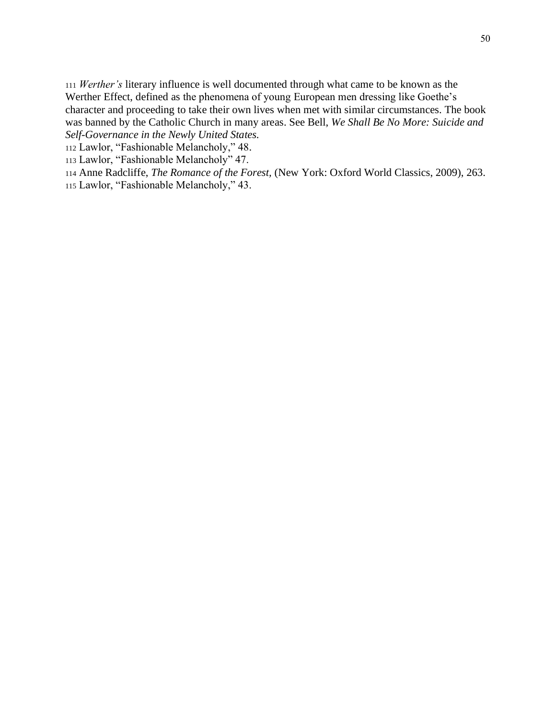<sup>111</sup> *Werther's* literary influence is well documented through what came to be known as the Werther Effect, defined as the phenomena of young European men dressing like Goethe's character and proceeding to take their own lives when met with similar circumstances. The book was banned by the Catholic Church in many areas. See Bell, *We Shall Be No More: Suicide and Self-Governance in the Newly United States.*

<sup>112</sup> Lawlor, "Fashionable Melancholy," 48.

<sup>113</sup> Lawlor, "Fashionable Melancholy" 47.

<sup>114</sup> Anne Radcliffe, *The Romance of the Forest,* (New York: Oxford World Classics, 2009), 263.

<sup>115</sup> Lawlor, "Fashionable Melancholy," 43.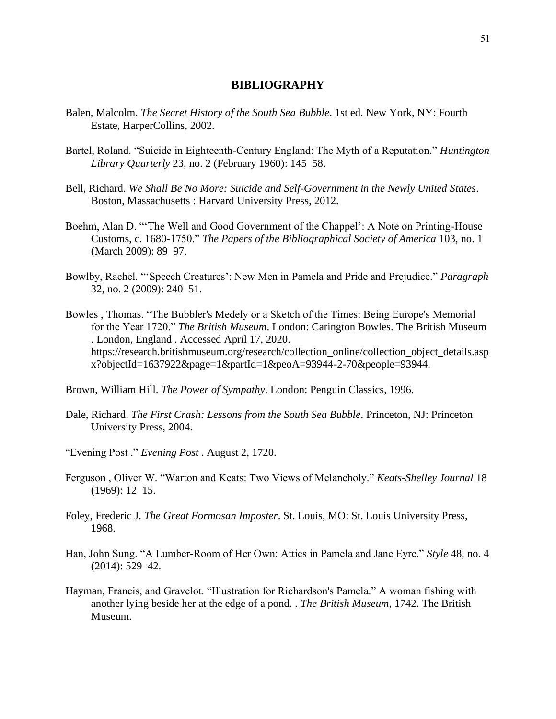### **BIBLIOGRAPHY**

- <span id="page-55-0"></span>Balen, Malcolm. *The Secret History of the South Sea Bubble*. 1st ed. New York, NY: Fourth Estate, HarperCollins, 2002.
- Bartel, Roland. "Suicide in Eighteenth-Century England: The Myth of a Reputation." *Huntington Library Quarterly* 23, no. 2 (February 1960): 145–58.
- Bell, Richard. *We Shall Be No More: Suicide and Self-Government in the Newly United States*. Boston, Massachusetts : Harvard University Press, 2012.
- Boehm, Alan D. "'The Well and Good Government of the Chappel': A Note on Printing-House Customs, c. 1680-1750." *The Papers of the Bibliographical Society of America* 103, no. 1 (March 2009): 89–97.
- Bowlby, Rachel. "'Speech Creatures': New Men in Pamela and Pride and Prejudice." *Paragraph* 32, no. 2 (2009): 240–51.
- Bowles , Thomas. "The Bubbler's Medely or a Sketch of the Times: Being Europe's Memorial for the Year 1720." *The British Museum*. London: Carington Bowles. The British Museum . London, England . Accessed April 17, 2020. https://research.britishmuseum.org/research/collection\_online/collection\_object\_details.asp x?objectId=1637922&page=1&partId=1&peoA=93944-2-70&people=93944.

Brown, William Hill. *The Power of Sympathy*. London: Penguin Classics, 1996.

- Dale, Richard. *The First Crash: Lessons from the South Sea Bubble*. Princeton, NJ: Princeton University Press, 2004.
- "Evening Post ." *Evening Post* . August 2, 1720.
- Ferguson , Oliver W. "Warton and Keats: Two Views of Melancholy." *Keats-Shelley Journal* 18 (1969): 12–15.
- Foley, Frederic J. *The Great Formosan Imposter*. St. Louis, MO: St. Louis University Press, 1968.
- Han, John Sung. "A Lumber-Room of Her Own: Attics in Pamela and Jane Eyre." *Style* 48, no. 4 (2014): 529–42.
- Hayman, Francis, and Gravelot. "Illustration for Richardson's Pamela." A woman fishing with another lying beside her at the edge of a pond. . *The British Museum*, 1742. The British Museum.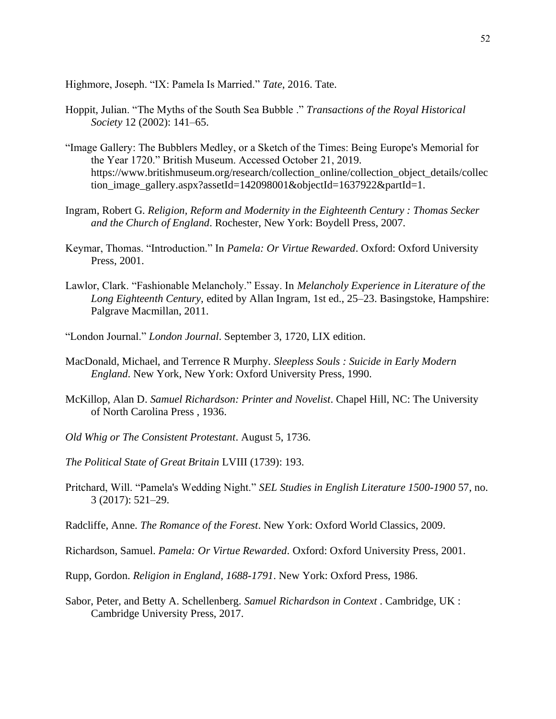Highmore, Joseph. "IX: Pamela Is Married." *Tate*, 2016. Tate.

- Hoppit, Julian. "The Myths of the South Sea Bubble ." *Transactions of the Royal Historical Society* 12 (2002): 141–65.
- "Image Gallery: The Bubblers Medley, or a Sketch of the Times: Being Europe's Memorial for the Year 1720." British Museum. Accessed October 21, 2019. https://www.britishmuseum.org/research/collection\_online/collection\_object\_details/collec tion image\_gallery.aspx?assetId=142098001&objectId=1637922&partId=1.
- Ingram, Robert G. *Religion, Reform and Modernity in the Eighteenth Century : Thomas Secker and the Church of England*. Rochester, New York: Boydell Press, 2007.
- Keymar, Thomas. "Introduction." In *Pamela: Or Virtue Rewarded*. Oxford: Oxford University Press, 2001.
- Lawlor, Clark. "Fashionable Melancholy." Essay. In *Melancholy Experience in Literature of the Long Eighteenth Century*, edited by Allan Ingram, 1st ed., 25–23. Basingstoke, Hampshire: Palgrave Macmillan, 2011.
- "London Journal." *London Journal*. September 3, 1720, LIX edition.
- MacDonald, Michael, and Terrence R Murphy. *Sleepless Souls : Suicide in Early Modern England*. New York, New York: Oxford University Press, 1990.
- McKillop, Alan D. *Samuel Richardson: Printer and Novelist*. Chapel Hill, NC: The University of North Carolina Press , 1936.
- *Old Whig or The Consistent Protestant*. August 5, 1736.
- *The Political State of Great Britain* LVIII (1739): 193.
- Pritchard, Will. "Pamela's Wedding Night." *SEL Studies in English Literature 1500-1900* 57, no. 3 (2017): 521–29.
- Radcliffe, Anne. *The Romance of the Forest*. New York: Oxford World Classics, 2009.
- Richardson, Samuel. *Pamela: Or Virtue Rewarded*. Oxford: Oxford University Press, 2001.
- Rupp, Gordon. *Religion in England, 1688-1791*. New York: Oxford Press, 1986.
- Sabor, Peter, and Betty A. Schellenberg. *Samuel Richardson in Context* . Cambridge, UK : Cambridge University Press, 2017.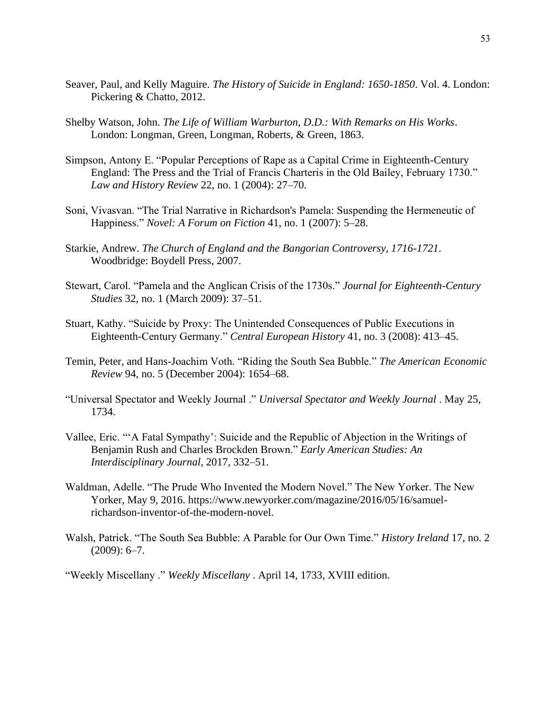- Seaver, Paul, and Kelly Maguire. *The History of Suicide in England: 1650-1850*. Vol. 4. London: Pickering & Chatto, 2012.
- Shelby Watson, John. *The Life of William Warburton, D.D.: With Remarks on His Works*. London: Longman, Green, Longman, Roberts, & Green, 1863.
- Simpson, Antony E. "Popular Perceptions of Rape as a Capital Crime in Eighteenth-Century England: The Press and the Trial of Francis Charteris in the Old Bailey, February 1730." *Law and History Review* 22, no. 1 (2004): 27–70.
- Soni, Vivasvan. "The Trial Narrative in Richardson's Pamela: Suspending the Hermeneutic of Happiness." *Novel: A Forum on Fiction* 41, no. 1 (2007): 5–28.
- Starkie, Andrew. *The Church of England and the Bangorian Controversy, 1716-1721*. Woodbridge: Boydell Press, 2007.
- Stewart, Carol. "Pamela and the Anglican Crisis of the 1730s." *Journal for Eighteenth-Century Studies* 32, no. 1 (March 2009): 37–51.
- Stuart, Kathy. "Suicide by Proxy: The Unintended Consequences of Public Executions in Eighteenth-Century Germany." *Central European History* 41, no. 3 (2008): 413–45.
- Temin, Peter, and Hans-Joachim Voth. "Riding the South Sea Bubble." *The American Economic Review* 94, no. 5 (December 2004): 1654–68.
- "Universal Spectator and Weekly Journal ." *Universal Spectator and Weekly Journal* . May 25, 1734.
- Vallee, Eric. "'A Fatal Sympathy': Suicide and the Republic of Abjection in the Writings of Benjamin Rush and Charles Brockden Brown." *Early American Studies: An Interdisciplinary Journal*, 2017, 332–51.
- Waldman, Adelle. "The Prude Who Invented the Modern Novel." The New Yorker. The New Yorker, May 9, 2016. [https://www.newyorker.com/magazine/2016/05/16/samuel](https://www.newyorker.com/magazine/2016/05/16/samuel-richardson-inventor-of-the-modern-novel)[richardson-inventor-of-the-modern-novel.](https://www.newyorker.com/magazine/2016/05/16/samuel-richardson-inventor-of-the-modern-novel)
- Walsh, Patrick. "The South Sea Bubble: A Parable for Our Own Time." *History Ireland* 17, no. 2  $(2009): 6 - 7.$

"Weekly Miscellany ." *Weekly Miscellany* . April 14, 1733, XVIII edition.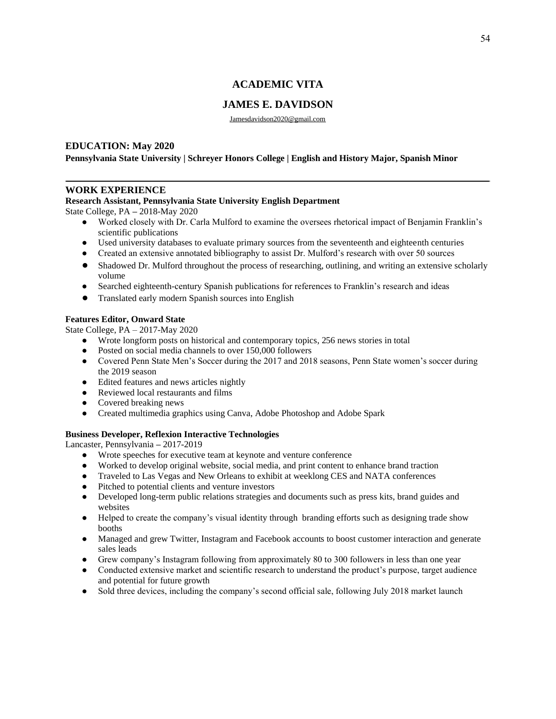# **ACADEMIC VITA**

# **JAMES E. DAVIDSON**

Jamesdavidson2020@gmail.com

#### <span id="page-58-0"></span>**EDUCATION: May 2020**

#### **Pennsylvania State University | Schreyer Honors College | English and History Major, Spanish Minor**

#### **WORK EXPERIENCE**

#### **Research Assistant, Pennsylvania State University English Department**

State College, PA **–** 2018-May 2020

- Worked closely with Dr. Carla Mulford to examine the oversees rhetorical impact of Benjamin Franklin's scientific publications
- Used university databases to evaluate primary sources from the seventeenth and eighteenth centuries
- Created an extensive annotated bibliography to assist Dr. Mulford's research with over 50 sources
- Shadowed Dr. Mulford throughout the process of researching, outlining, and writing an extensive scholarly volume
- Searched eighteenth-century Spanish publications for references to Franklin's research and ideas
- Translated early modern Spanish sources into English

#### **Features Editor, Onward State**

State College, PA – 2017-May 2020

- Wrote longform posts on historical and contemporary topics, 256 news stories in total
- Posted on social media channels to over 150,000 followers
- Covered Penn State Men's Soccer during the 2017 and 2018 seasons, Penn State women's soccer during the 2019 season
- Edited features and news articles nightly
- Reviewed local restaurants and films
- Covered breaking news
- Created multimedia graphics using Canva, Adobe Photoshop and Adobe Spark

#### **Business Developer, Reflexion Interactive Technologies**

Lancaster, Pennsylvania **–** 2017-2019

- Wrote speeches for executive team at keynote and venture conference
- Worked to develop original website, social media, and print content to enhance brand traction
- Traveled to Las Vegas and New Orleans to exhibit at weeklong CES and NATA conferences
- Pitched to potential clients and venture investors
- Developed long-term public relations strategies and documents such as press kits, brand guides and websites
- Helped to create the company's visual identity through branding efforts such as designing trade show booths
- Managed and grew Twitter, Instagram and Facebook accounts to boost customer interaction and generate sales leads
- Grew company's Instagram following from approximately 80 to 300 followers in less than one year
- Conducted extensive market and scientific research to understand the product's purpose, target audience and potential for future growth
- Sold three devices, including the company's second official sale, following July 2018 market launch